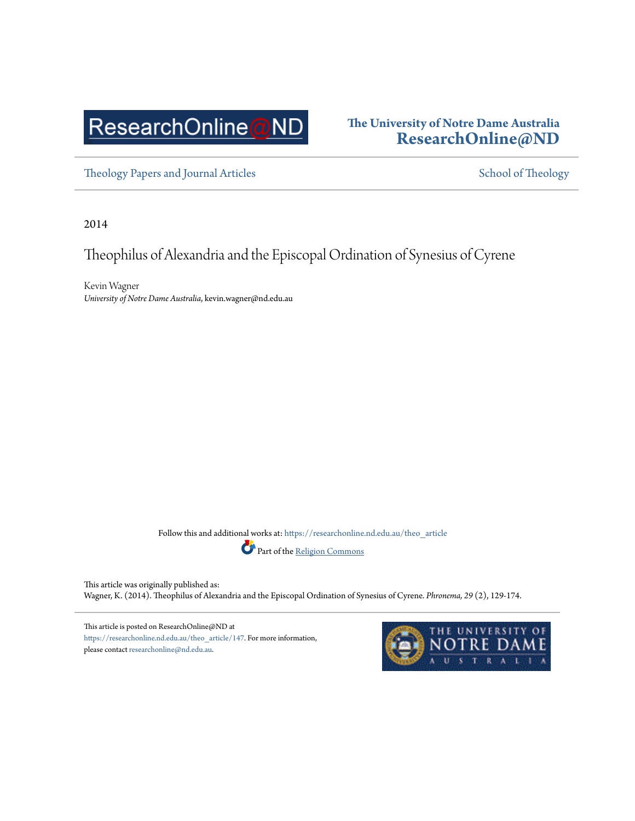# ResearchOnline@ND

### **The University of Notre Dame Australia [ResearchOnline@ND](https://researchonline.nd.edu.au?utm_source=researchonline.nd.edu.au%2Ftheo_article%2F147&utm_medium=PDF&utm_campaign=PDFCoverPages)**

[Theology Papers and Journal Articles](https://researchonline.nd.edu.au/theo_article?utm_source=researchonline.nd.edu.au%2Ftheo_article%2F147&utm_medium=PDF&utm_campaign=PDFCoverPages) and the state of Theology [School of Theology](https://researchonline.nd.edu.au/theo?utm_source=researchonline.nd.edu.au%2Ftheo_article%2F147&utm_medium=PDF&utm_campaign=PDFCoverPages)

2014

Theophilus of Alexandria and the Episcopal Ordination of Synesius of Cyrene

Kevin Wagner *University of Notre Dame Australia*, kevin.wagner@nd.edu.au

Follow this and additional works at: [https://researchonline.nd.edu.au/theo\\_article](https://researchonline.nd.edu.au/theo_article?utm_source=researchonline.nd.edu.au%2Ftheo_article%2F147&utm_medium=PDF&utm_campaign=PDFCoverPages)



This article was originally published as: Wagner, K. (2014). Theophilus of Alexandria and the Episcopal Ordination of Synesius of Cyrene. *Phronema, 29* (2), 129-174.

This article is posted on ResearchOnline@ND at [https://researchonline.nd.edu.au/theo\\_article/147.](https://researchonline.nd.edu.au/theo_article/147) For more information, please contact [researchonline@nd.edu.au](mailto:researchonline@nd.edu.au).

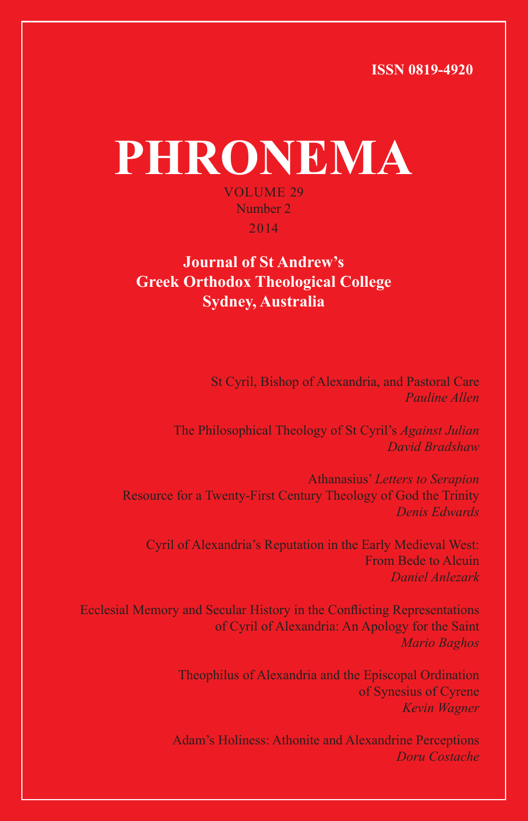**ISSN 0819-4920**

# **PHRONEMA** VOLUME 29 Number 2 2014

#### **Journal of St Andrew's Greek Orthodox Theological College Sydney, Australia**

St Cyril, Bishop of Alexandria, and Pastoral Care *Pauline Allen*

The Philosophical Theology of St Cyril's *Against Julian David Bradshaw*

Athanasius' *Letters to Serapion* Resource for a Twenty-First Century Theology of God the Trinity *Denis Edwards*

Cyril of Alexandria's Reputation in the Early Medieval West: From Bede to Alcuin *Daniel Anlezark*

Ecclesial Memory and Secular History in the Conflicting Representations of Cyril of Alexandria: An Apology for the Saint *Mario Baghos*

> Theophilus of Alexandria and the Episcopal Ordination of Synesius of Cyrene *Kevin Wagner*

Adam's Holiness: Athonite and Alexandrine Perceptions *Doru Costache*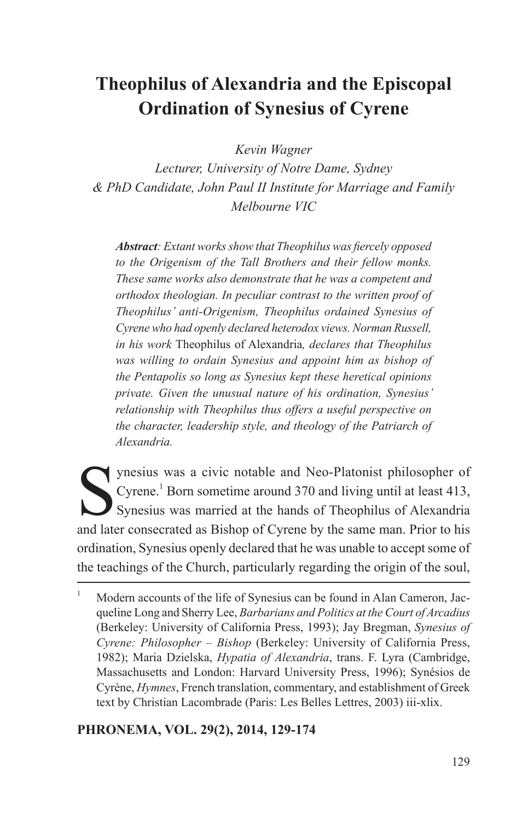## **Theophilus of Alexandria and the Episcopal Ordination of Synesius of Cyrene**

*Kevin Wagner* 

*Lecturer, University of Notre Dame, Sydney & PhD Candidate, John Paul II Institute for Marriage and Family Melbourne VIC*

*Abstract: Extant works show that Theophilus was fiercely opposed to the Origenism of the Tall Brothers and their fellow monks. These same works also demonstrate that he was a competent and orthodox theologian. In peculiar contrast to the written proof of Theophilus' anti-Origenism, Theophilus ordained Synesius of Cyrene who had openly declared heterodox views. Norman Russell, in his work* Theophilus of Alexandria*, declares that Theophilus was willing to ordain Synesius and appoint him as bishop of the Pentapolis so long as Synesius kept these heretical opinions private. Given the unusual nature of his ordination, Synesius' relationship with Theophilus thus offers a useful perspective on the character, leadership style, and theology of the Patriarch of Alexandria.*

Synesius was a civic notable and Neo-Platonist philosopher of Cyrene.<sup>1</sup> Born sometime around 370 and living until at least 413, Synesius was married at the hands of Theophilus of Alexandria and later consecrated as Bishop of Cyrene by the same man. Prior to his ordination, Synesius openly declared that he was unable to accept some of the teachings of the Church, particularly regarding the origin of the soul,

#### **PHRONEMA, VOL. 29(2), 2014, 129-174**

<sup>&</sup>lt;sup>1</sup> Modern accounts of the life of Synesius can be found in Alan Cameron, Jacqueline Long and Sherry Lee, *Barbarians and Politics at the Court of Arcadius* (Berkeley: University of California Press, 1993); Jay Bregman, *Synesius of Cyrene: Philosopher – Bishop* (Berkeley: University of California Press, 1982); Maria Dzielska, *Hypatia of Alexandria*, trans. F. Lyra (Cambridge, Massachusetts and London: Harvard University Press, 1996); Synésios de Cyrène, *Hymnes*, French translation, commentary, and establishment of Greek text by Christian Lacombrade (Paris: Les Belles Lettres, 2003) iii-xlix.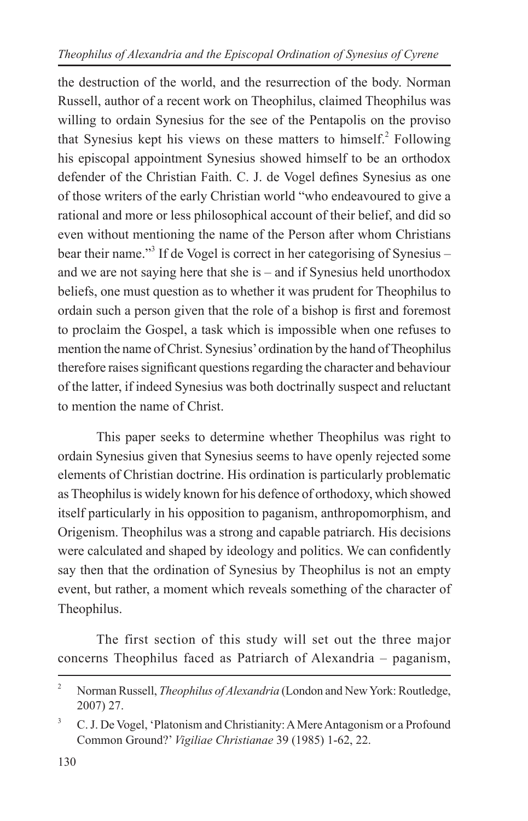the destruction of the world, and the resurrection of the body. Norman Russell, author of a recent work on Theophilus, claimed Theophilus was willing to ordain Synesius for the see of the Pentapolis on the proviso that Synesius kept his views on these matters to himself.<sup>2</sup> Following his episcopal appointment Synesius showed himself to be an orthodox defender of the Christian Faith. C. J. de Vogel defines Synesius as one of those writers of the early Christian world "who endeavoured to give a rational and more or less philosophical account of their belief, and did so even without mentioning the name of the Person after whom Christians bear their name."<sup>3</sup> If de Vogel is correct in her categorising of Synesius – and we are not saying here that she is – and if Synesius held unorthodox beliefs, one must question as to whether it was prudent for Theophilus to ordain such a person given that the role of a bishop is first and foremost to proclaim the Gospel, a task which is impossible when one refuses to mention the name of Christ. Synesius' ordination by the hand of Theophilus therefore raises significant questions regarding the character and behaviour of the latter, if indeed Synesius was both doctrinally suspect and reluctant to mention the name of Christ.

This paper seeks to determine whether Theophilus was right to ordain Synesius given that Synesius seems to have openly rejected some elements of Christian doctrine. His ordination is particularly problematic as Theophilus is widely known for his defence of orthodoxy, which showed itself particularly in his opposition to paganism, anthropomorphism, and Origenism. Theophilus was a strong and capable patriarch. His decisions were calculated and shaped by ideology and politics. We can confidently say then that the ordination of Synesius by Theophilus is not an empty event, but rather, a moment which reveals something of the character of Theophilus.

The first section of this study will set out the three major concerns Theophilus faced as Patriarch of Alexandria – paganism,

<sup>&</sup>lt;sup>2</sup> Norman Russell, *Theophilus of Alexandria* (London and New York: Routledge, 2007) 27.

<sup>&</sup>lt;sup>3</sup> C. J. De Vogel, 'Platonism and Christianity: A Mere Antagonism or a Profound Common Ground?' *Vigiliae Christianae* 39 (1985) 1-62, 22.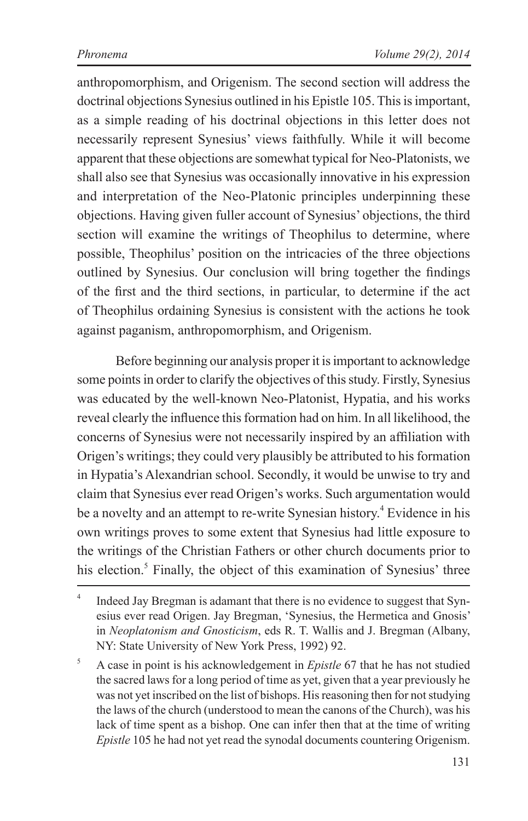anthropomorphism, and Origenism. The second section will address the doctrinal objections Synesius outlined in his Epistle 105. This is important, as a simple reading of his doctrinal objections in this letter does not necessarily represent Synesius' views faithfully. While it will become apparent that these objections are somewhat typical for Neo-Platonists, we shall also see that Synesius was occasionally innovative in his expression and interpretation of the Neo-Platonic principles underpinning these objections. Having given fuller account of Synesius' objections, the third section will examine the writings of Theophilus to determine, where possible, Theophilus' position on the intricacies of the three objections outlined by Synesius. Our conclusion will bring together the findings of the first and the third sections, in particular, to determine if the act of Theophilus ordaining Synesius is consistent with the actions he took against paganism, anthropomorphism, and Origenism.

Before beginning our analysis proper it is important to acknowledge some points in order to clarify the objectives of this study. Firstly, Synesius was educated by the well-known Neo-Platonist, Hypatia, and his works reveal clearly the influence this formation had on him. In all likelihood, the concerns of Synesius were not necessarily inspired by an affiliation with Origen's writings; they could very plausibly be attributed to his formation in Hypatia's Alexandrian school. Secondly, it would be unwise to try and claim that Synesius ever read Origen's works. Such argumentation would be a novelty and an attempt to re-write Synesian history.<sup>4</sup> Evidence in his own writings proves to some extent that Synesius had little exposure to the writings of the Christian Fathers or other church documents prior to his election.<sup>5</sup> Finally, the object of this examination of Synesius' three

<sup>&</sup>lt;sup>4</sup> Indeed Jay Bregman is adamant that there is no evidence to suggest that Synesius ever read Origen. Jay Bregman, 'Synesius, the Hermetica and Gnosis' in *Neoplatonism and Gnosticism*, eds R. T. Wallis and J. Bregman (Albany, NY: State University of New York Press, 1992) 92.

<sup>5</sup> A case in point is his acknowledgement in *Epistle* 67 that he has not studied the sacred laws for a long period of time as yet, given that a year previously he was not yet inscribed on the list of bishops. His reasoning then for not studying the laws of the church (understood to mean the canons of the Church), was his lack of time spent as a bishop. One can infer then that at the time of writing *Epistle* 105 he had not yet read the synodal documents countering Origenism.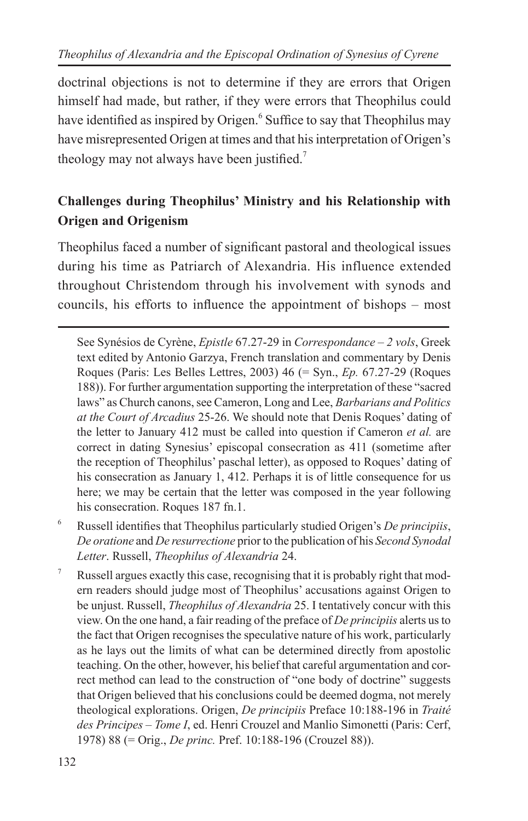doctrinal objections is not to determine if they are errors that Origen himself had made, but rather, if they were errors that Theophilus could have identified as inspired by Origen.<sup>6</sup> Suffice to say that Theophilus may have misrepresented Origen at times and that his interpretation of Origen's theology may not always have been justified.<sup>7</sup>

#### **Challenges during Theophilus' Ministry and his Relationship with Origen and Origenism**

Theophilus faced a number of significant pastoral and theological issues during his time as Patriarch of Alexandria. His influence extended throughout Christendom through his involvement with synods and councils, his efforts to influence the appointment of bishops – most

See Synésios de Cyrène, *Epistle* 67.27-29 in *Correspondance – 2 vols*, Greek text edited by Antonio Garzya, French translation and commentary by Denis Roques (Paris: Les Belles Lettres, 2003) 46 (= Syn., *Ep.* 67.27-29 (Roques 188)). For further argumentation supporting the interpretation of these "sacred laws" as Church canons, see Cameron, Long and Lee, *Barbarians and Politics at the Court of Arcadius* 25-26. We should note that Denis Roques' dating of the letter to January 412 must be called into question if Cameron *et al.* are correct in dating Synesius' episcopal consecration as 411 (sometime after the reception of Theophilus' paschal letter), as opposed to Roques' dating of his consecration as January 1, 412. Perhaps it is of little consequence for us here; we may be certain that the letter was composed in the year following his consecration. Roques 187 fn.1.

- <sup>6</sup> Russell identifies that Theophilus particularly studied Origen's *De principiis*, *De oratione* and *De resurrectione* prior to the publication of his *Second Synodal Letter*. Russell, *Theophilus of Alexandria* 24.
- <sup>7</sup> Russell argues exactly this case, recognising that it is probably right that modern readers should judge most of Theophilus' accusations against Origen to be unjust. Russell, *Theophilus of Alexandria* 25. I tentatively concur with this view. On the one hand, a fair reading of the preface of *De principiis* alerts us to the fact that Origen recognises the speculative nature of his work, particularly as he lays out the limits of what can be determined directly from apostolic teaching. On the other, however, his belief that careful argumentation and correct method can lead to the construction of "one body of doctrine" suggests that Origen believed that his conclusions could be deemed dogma, not merely theological explorations. Origen, *De principiis* Preface 10:188-196 in *Traité des Principes – Tome I*, ed. Henri Crouzel and Manlio Simonetti (Paris: Cerf, 1978) 88 (= Orig., *De princ.* Pref. 10:188-196 (Crouzel 88)).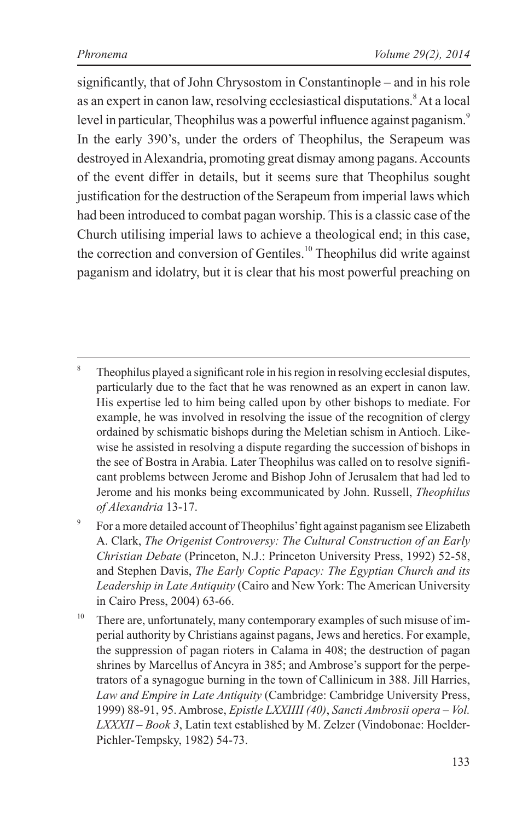significantly, that of John Chrysostom in Constantinople – and in his role as an expert in canon law, resolving ecclesiastical disputations.<sup>8</sup> At a local level in particular, Theophilus was a powerful influence against paganism.<sup>9</sup> In the early 390's, under the orders of Theophilus, the Serapeum was destroyed in Alexandria, promoting great dismay among pagans. Accounts of the event differ in details, but it seems sure that Theophilus sought justification for the destruction of the Serapeum from imperial laws which had been introduced to combat pagan worship. This is a classic case of the Church utilising imperial laws to achieve a theological end; in this case, the correction and conversion of Gentiles.<sup>10</sup> Theophilus did write against paganism and idolatry, but it is clear that his most powerful preaching on

<sup>&</sup>lt;sup>8</sup> Theophilus played a significant role in his region in resolving ecclesial disputes, particularly due to the fact that he was renowned as an expert in canon law. His expertise led to him being called upon by other bishops to mediate. For example, he was involved in resolving the issue of the recognition of clergy ordained by schismatic bishops during the Meletian schism in Antioch. Likewise he assisted in resolving a dispute regarding the succession of bishops in the see of Bostra in Arabia. Later Theophilus was called on to resolve significant problems between Jerome and Bishop John of Jerusalem that had led to Jerome and his monks being excommunicated by John. Russell, *Theophilus of Alexandria* 13-17.

<sup>&</sup>lt;sup>9</sup> For a more detailed account of Theophilus' fight against paganism see Elizabeth A. Clark, *The Origenist Controversy: The Cultural Construction of an Early Christian Debate* (Princeton, N.J.: Princeton University Press, 1992) 52-58, and Stephen Davis, *The Early Coptic Papacy: The Egyptian Church and its Leadership in Late Antiquity* (Cairo and New York: The American University in Cairo Press, 2004) 63-66.

<sup>&</sup>lt;sup>10</sup> There are, unfortunately, many contemporary examples of such misuse of imperial authority by Christians against pagans, Jews and heretics. For example, the suppression of pagan rioters in Calama in 408; the destruction of pagan shrines by Marcellus of Ancyra in 385; and Ambrose's support for the perpetrators of a synagogue burning in the town of Callinicum in 388. Jill Harries, *Law and Empire in Late Antiquity* (Cambridge: Cambridge University Press, 1999) 88-91, 95. Ambrose, *Epistle LXXIIII (40)*, *Sancti Ambrosii opera – Vol. LXXXII – Book 3*, Latin text established by M. Zelzer (Vindobonae: Hoelder-Pichler-Tempsky, 1982) 54-73.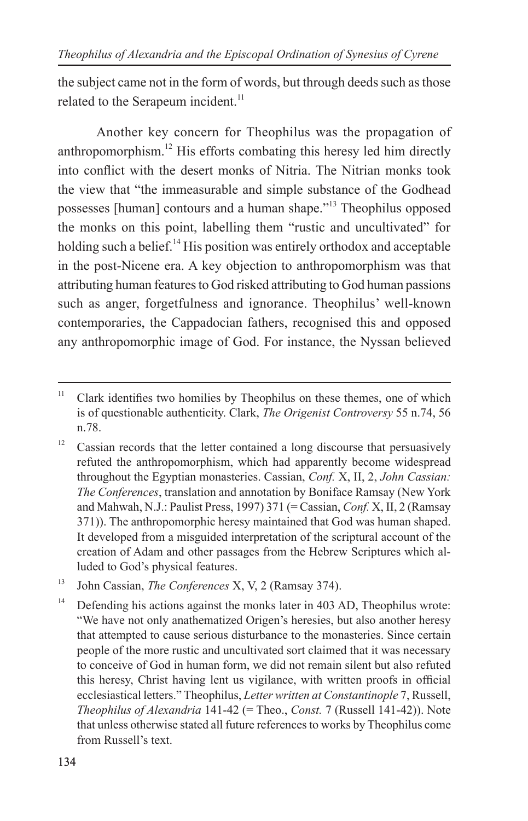the subject came not in the form of words, but through deeds such as those related to the Serapeum incident.<sup>11</sup>

Another key concern for Theophilus was the propagation of anthropomorphism.<sup>12</sup> His efforts combating this heresy led him directly into conflict with the desert monks of Nitria. The Nitrian monks took the view that "the immeasurable and simple substance of the Godhead possesses [human] contours and a human shape."<sup>13</sup> Theophilus opposed the monks on this point, labelling them "rustic and uncultivated" for holding such a belief.<sup>14</sup> His position was entirely orthodox and acceptable in the post-Nicene era. A key objection to anthropomorphism was that attributing human features to God risked attributing to God human passions such as anger, forgetfulness and ignorance. Theophilus' well-known contemporaries, the Cappadocian fathers, recognised this and opposed any anthropomorphic image of God. For instance, the Nyssan believed

<sup>&</sup>lt;sup>11</sup> Clark identifies two homilies by Theophilus on these themes, one of which is of questionable authenticity. Clark, *The Origenist Controversy* 55 n.74, 56 n.78.

 $12$  Cassian records that the letter contained a long discourse that persuasively refuted the anthropomorphism, which had apparently become widespread throughout the Egyptian monasteries. Cassian, *Conf.* X, II, 2, *John Cassian: The Conferences*, translation and annotation by Boniface Ramsay (New York and Mahwah, N.J.: Paulist Press, 1997) 371 (= Cassian, *Conf.* X, II, 2 (Ramsay 371)). The anthropomorphic heresy maintained that God was human shaped. It developed from a misguided interpretation of the scriptural account of the creation of Adam and other passages from the Hebrew Scriptures which alluded to God's physical features.

<sup>13</sup> John Cassian, *The Conferences* X, V, 2 (Ramsay 374).

<sup>&</sup>lt;sup>14</sup> Defending his actions against the monks later in 403 AD, Theophilus wrote: "We have not only anathematized Origen's heresies, but also another heresy that attempted to cause serious disturbance to the monasteries. Since certain people of the more rustic and uncultivated sort claimed that it was necessary to conceive of God in human form, we did not remain silent but also refuted this heresy, Christ having lent us vigilance, with written proofs in official ecclesiastical letters." Theophilus, *Letter written at Constantinople* 7, Russell, *Theophilus of Alexandria* 141-42 (= Theo., *Const.* 7 (Russell 141-42)). Note that unless otherwise stated all future references to works by Theophilus come from Russell's text.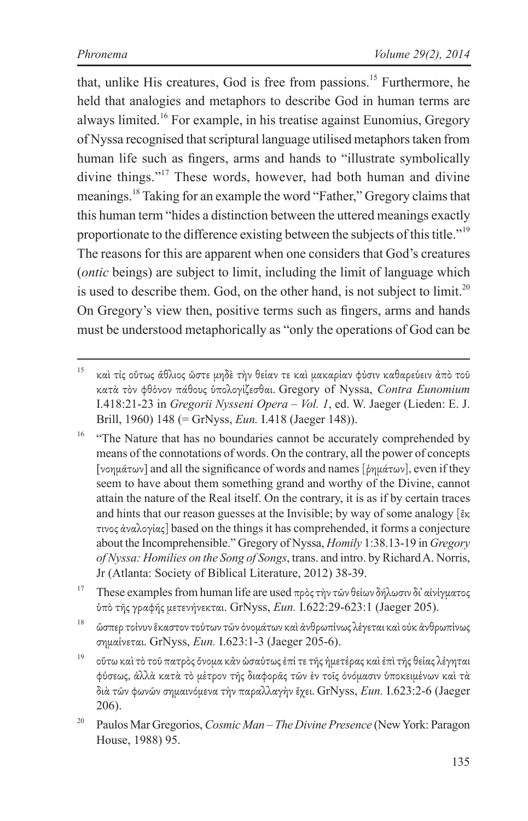that, unlike His creatures, God is free from passions.<sup>15</sup> Furthermore, he held that analogies and metaphors to describe God in human terms are always limited.16 For example, in his treatise against Eunomius, Gregory of Nyssa recognised that scriptural language utilised metaphors taken from human life such as fingers, arms and hands to "illustrate symbolically divine things."17 These words, however, had both human and divine meanings.18 Taking for an example the word "Father," Gregory claims that this human term "hides a distinction between the uttered meanings exactly proportionate to the difference existing between the subjects of this title."<sup>19</sup> The reasons for this are apparent when one considers that God's creatures (*ontic* beings) are subject to limit, including the limit of language which is used to describe them. God, on the other hand, is not subject to limit.<sup>20</sup> On Gregory's view then, positive terms such as fingers, arms and hands must be understood metaphorically as "only the operations of God can be

- <sup>16</sup> "The Nature that has no boundaries cannot be accurately comprehended by means of the connotations of words. On the contrary, all the power of concepts [νοημάτων] and all the significance of words and names [ῥημάτων], even if they seem to have about them something grand and worthy of the Divine, cannot attain the nature of the Real itself. On the contrary, it is as if by certain traces and hints that our reason guesses at the Invisible; by way of some analogy [ἔκ τινος ἀναλογίας] based on the things it has comprehended, it forms a conjecture about the Incomprehensible." Gregory of Nyssa, *Homily* 1:38.13-19 in *Gregory of Nyssa: Homilies on the Song of Songs*, trans. and intro. by Richard A. Norris, Jr (Atlanta: Society of Biblical Literature, 2012) 38-39.
- <sup>17</sup> These examples from human life are used πρὸς τὴν τῶν θείων δήλωσιν δι' αἰνίγματος ὑπὸ τῆς γραφῆς μετενήνεκται. GrNyss, *Eun.* I.622:29-623:1 (Jaeger 205).
- <sup>18</sup> ὥσπερ τοίνυν ἕκαστον τούτων τῶν ὀνομάτων καὶ ἀνθρωπίνως λέγεται καὶ οὐκ ἀνθρωπίνως σημαίνεται. GrNyss, *Eun.* I.623:1-3 (Jaeger 205-6).

<sup>19</sup> οὕτω καὶ τὸ τοῦ πατρὸς ὄνομα κἂν ὡσαύτως ἐπί τε τῆς ἡμετέρας καὶ ἐπὶ τῆς θείας λέγηται φύσεως, ἀλλὰ κατὰ τὸ μέτρον τῆς διαφορᾶς τῶν ἐν τοῖς ὀνόμασιν ὑποκειμένων καὶ τὰ διὰ τῶν φωνῶν σημαινόμενα τὴν παραλλαγὴν ἔχει. GrNyss, *Eun.* I.623:2-6 (Jaeger 206).

<sup>20</sup> Paulos Mar Gregorios, *Cosmic Man – The Divine Presence* (New York: Paragon House, 1988) 95.

 $^{15}$  καὶ τίς οὕτως ἄθλιος ὥστε μηδὲ τὴν θείαν τε καὶ μακαρίαν φύσιν καθαρεύειν ἀπὸ τοῦ κατὰ τὸν φθόνον πάθους ὑπολογίζεσθαι. Gregory of Nyssa, *Contra Eunomium* I.418:21-23 in *Gregorii Nysseni Opera – Vol. 1*, ed. W. Jaeger (Lieden: E. J. Brill, 1960) 148 (= GrNyss, *Eun.* I.418 (Jaeger 148)).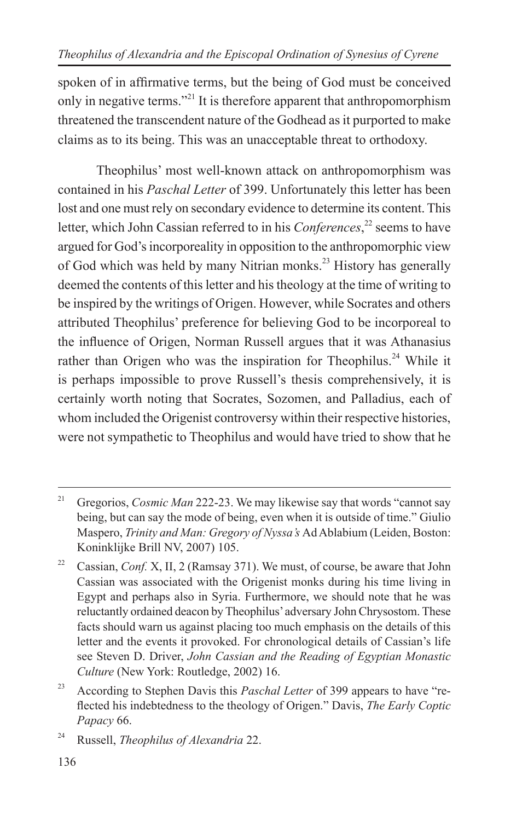spoken of in affirmative terms, but the being of God must be conceived only in negative terms."21 It is therefore apparent that anthropomorphism threatened the transcendent nature of the Godhead as it purported to make claims as to its being. This was an unacceptable threat to orthodoxy.

Theophilus' most well-known attack on anthropomorphism was contained in his *Paschal Letter* of 399. Unfortunately this letter has been lost and one must rely on secondary evidence to determine its content. This letter, which John Cassian referred to in his *Conferences*, <sup>22</sup> seems to have argued for God's incorporeality in opposition to the anthropomorphic view of God which was held by many Nitrian monks.<sup>23</sup> History has generally deemed the contents of this letter and his theology at the time of writing to be inspired by the writings of Origen. However, while Socrates and others attributed Theophilus' preference for believing God to be incorporeal to the influence of Origen, Norman Russell argues that it was Athanasius rather than Origen who was the inspiration for Theophilus.<sup>24</sup> While it is perhaps impossible to prove Russell's thesis comprehensively, it is certainly worth noting that Socrates, Sozomen, and Palladius, each of whom included the Origenist controversy within their respective histories. were not sympathetic to Theophilus and would have tried to show that he

<sup>&</sup>lt;sup>21</sup> Gregorios, *Cosmic Man* 222-23. We may likewise say that words "cannot say" being, but can say the mode of being, even when it is outside of time." Giulio Maspero, *Trinity and Man: Gregory of Nyssa's* Ad Ablabium (Leiden, Boston: Koninklijke Brill NV, 2007) 105.

<sup>&</sup>lt;sup>22</sup> Cassian, *Conf.* X, II, 2 (Ramsay 371). We must, of course, be aware that John Cassian was associated with the Origenist monks during his time living in Egypt and perhaps also in Syria. Furthermore, we should note that he was reluctantly ordained deacon by Theophilus' adversary John Chrysostom. These facts should warn us against placing too much emphasis on the details of this letter and the events it provoked. For chronological details of Cassian's life see Steven D. Driver, *John Cassian and the Reading of Egyptian Monastic Culture* (New York: Routledge, 2002) 16.

<sup>&</sup>lt;sup>23</sup> According to Stephen Davis this *Paschal Letter* of 399 appears to have "reflected his indebtedness to the theology of Origen." Davis, *The Early Coptic Papacy* 66.

<sup>24</sup> Russell, *Theophilus of Alexandria* 22.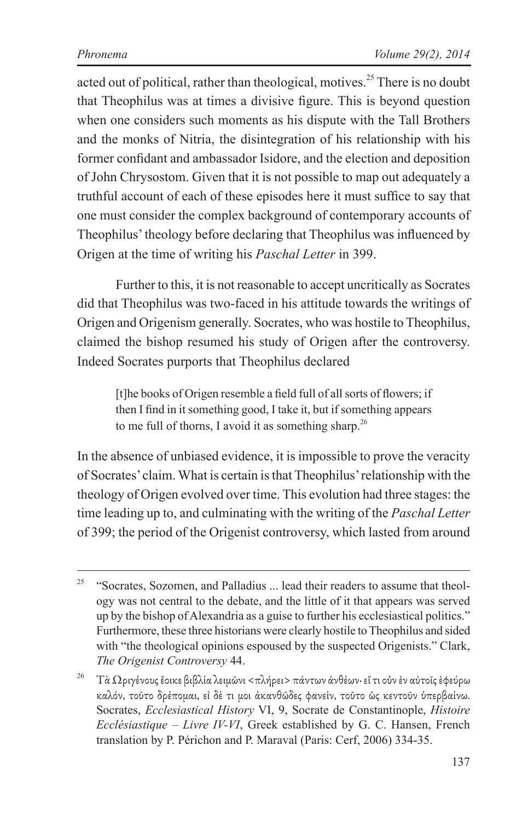acted out of political, rather than theological, motives.<sup>25</sup> There is no doubt that Theophilus was at times a divisive figure. This is beyond question when one considers such moments as his dispute with the Tall Brothers and the monks of Nitria, the disintegration of his relationship with his former confidant and ambassador Isidore, and the election and deposition of John Chrysostom. Given that it is not possible to map out adequately a truthful account of each of these episodes here it must suffice to say that one must consider the complex background of contemporary accounts of Theophilus' theology before declaring that Theophilus was influenced by Origen at the time of writing his *Paschal Letter* in 399.

Further to this, it is not reasonable to accept uncritically as Socrates did that Theophilus was two-faced in his attitude towards the writings of Origen and Origenism generally. Socrates, who was hostile to Theophilus, claimed the bishop resumed his study of Origen after the controversy. Indeed Socrates purports that Theophilus declared

[t]he books of Origen resemble a field full of all sorts of flowers; if then I find in it something good, I take it, but if something appears to me full of thorns, I avoid it as something sharp.<sup>26</sup>

In the absence of unbiased evidence, it is impossible to prove the veracity of Socrates' claim. What is certain is that Theophilus' relationship with the theology of Origen evolved over time. This evolution had three stages: the time leading up to, and culminating with the writing of the *Paschal Letter* of 399; the period of the Origenist controversy, which lasted from around

 $25$  "Socrates, Sozomen, and Palladius ... lead their readers to assume that theology was not central to the debate, and the little of it that appears was served up by the bishop of Alexandria as a guise to further his ecclesiastical politics." Furthermore, these three historians were clearly hostile to Theophilus and sided with "the theological opinions espoused by the suspected Origenists." Clark, *The Origenist Controversy* 44.

<sup>&</sup>lt;sup>26</sup> Τὰ Ωριγένους ἔοικε βιβλία λειμῶνι <πλήρει> πάντων ἀνθέων· εἴ τι οὖν ἐν αὐτοῖς ἐφεύρω καλόν, τοῦτο δρέπομαι, εἰ δέ τι μοι ἀκανθῶδες φανείν, τοῦτο ὡς κεντοῦν ὑπερβαίνω. Socrates, *Ecclesiastical History* VI, 9, Socrate de Constantinople, *Histoire Ecclésiastique – Livre IV-VI*, Greek established by G. C. Hansen, French translation by P. Périchon and P. Maraval (Paris: Cerf, 2006) 334-35.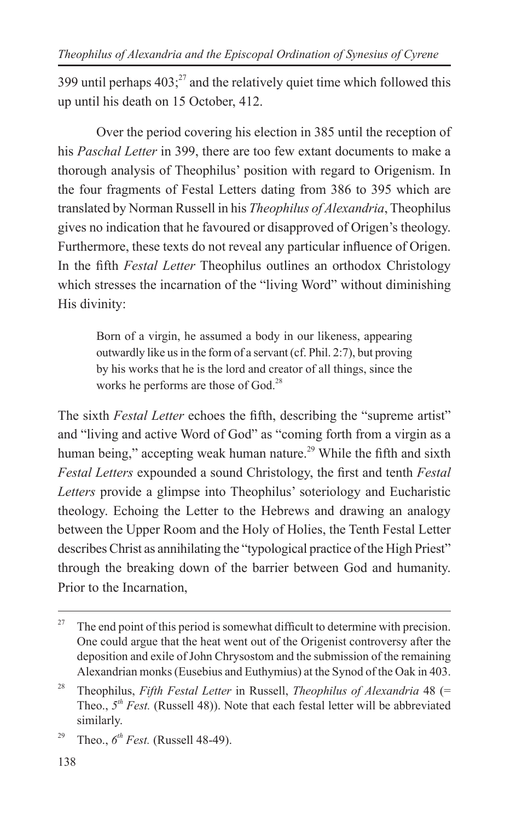399 until perhaps  $403<sup>27</sup>$  and the relatively quiet time which followed this up until his death on 15 October, 412.

Over the period covering his election in 385 until the reception of his *Paschal Letter* in 399, there are too few extant documents to make a thorough analysis of Theophilus' position with regard to Origenism. In the four fragments of Festal Letters dating from 386 to 395 which are translated by Norman Russell in his *Theophilus of Alexandria*, Theophilus gives no indication that he favoured or disapproved of Origen's theology. Furthermore, these texts do not reveal any particular influence of Origen. In the fifth *Festal Letter* Theophilus outlines an orthodox Christology which stresses the incarnation of the "living Word" without diminishing His divinity:

Born of a virgin, he assumed a body in our likeness, appearing outwardly like us in the form of a servant (cf. Phil. 2:7), but proving by his works that he is the lord and creator of all things, since the works he performs are those of  $God.^28$ 

The sixth *Festal Letter* echoes the fifth, describing the "supreme artist" and "living and active Word of God" as "coming forth from a virgin as a human being," accepting weak human nature.<sup>29</sup> While the fifth and sixth *Festal Letters* expounded a sound Christology, the first and tenth *Festal Letters* provide a glimpse into Theophilus' soteriology and Eucharistic theology. Echoing the Letter to the Hebrews and drawing an analogy between the Upper Room and the Holy of Holies, the Tenth Festal Letter describes Christ as annihilating the "typological practice of the High Priest" through the breaking down of the barrier between God and humanity. Prior to the Incarnation,

<sup>&</sup>lt;sup>27</sup> The end point of this period is somewhat difficult to determine with precision. One could argue that the heat went out of the Origenist controversy after the deposition and exile of John Chrysostom and the submission of the remaining Alexandrian monks (Eusebius and Euthymius) at the Synod of the Oak in 403.

<sup>28</sup> Theophilus, *Fifth Festal Letter* in Russell, *Theophilus of Alexandria* 48 (= Theo., *5th Fest.* (Russell 48)). Note that each festal letter will be abbreviated similarly.

<sup>&</sup>lt;sup>29</sup> Theo.,  $6^{th}$  *Fest.* (Russell 48-49).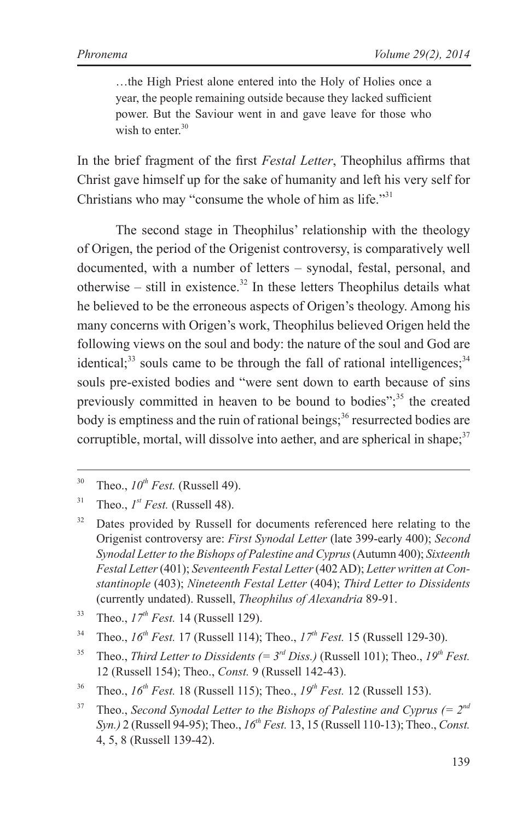…the High Priest alone entered into the Holy of Holies once a year, the people remaining outside because they lacked sufficient power. But the Saviour went in and gave leave for those who wish to enter  $30$ 

In the brief fragment of the first *Festal Letter*, Theophilus affirms that Christ gave himself up for the sake of humanity and left his very self for Christians who may "consume the whole of him as life." $31$ 

The second stage in Theophilus' relationship with the theology of Origen, the period of the Origenist controversy, is comparatively well documented, with a number of letters - synodal, festal, personal, and otherwise – still in existence.<sup>32</sup> In these letters Theophilus details what he believed to be the erroneous aspects of Origen's theology. Among his many concerns with Origen's work, Theophilus believed Origen held the following views on the soul and body: the nature of the soul and God are identical; $33$  souls came to be through the fall of rational intelligences; $34$ souls pre-existed bodies and "were sent down to earth because of sins previously committed in heaven to be bound to bodies"; $^{35}$  the created body is emptiness and the ruin of rational beings; $36$  resurrected bodies are corruptible, mortal, will dissolve into aether, and are spherical in shape: $37$ 

- <sup>34</sup> Theo.,  $16^{th}$  Fest. 17 (Russell 114); Theo.,  $17^{th}$  Fest. 15 (Russell 129-30).
- <sup>35</sup> Theo., *Third Letter to Dissidents*  $(= 3^{rd}$  *Diss.*) (Russell 101): Theo.,  $19^{th}$  Fest. 12 (Russell 154); Theo., *Const.* 9 (Russell 142-43).
- <sup>36</sup> Theo.,  $16^{th}$  Fest. 18 (Russell 115); Theo.,  $19^{th}$  Fest. 12 (Russell 153).

<sup>&</sup>lt;sup>30</sup> Theo.,  $10^{th}$  Fest. (Russell 49).

<sup>&</sup>lt;sup>31</sup> Theo.,  $I^{st}$  *Fest.* (Russell 48).

<sup>&</sup>lt;sup>32</sup> Dates provided by Russell for documents referenced here relating to the Origenist controversy are: *First Synodal Letter* (late 399-early 400); *Second Synodal Letter to the Bishops of Palestine and Cyprus* (Autumn 400); *Sixteenth Festal Letter* (401); *Seventeenth Festal Letter* (402 AD); *Letter written at Constantinople* (403); *Nineteenth Festal Letter* (404); *Third Letter to Dissidents* (currently undated). Russell, *Theophilus of Alexandria* 89-91.

<sup>&</sup>lt;sup>33</sup> Theo.,  $17^{th}$  *Fest.* 14 (Russell 129).

Theo., *Second Synodal Letter to the Bishops of Palestine and Cyprus*  $(= 2<sup>nd</sup>$ *Syn.)* 2 (Russell 94-95); Theo., *16th Fest.* 13, 15 (Russell 110-13); Theo., *Const.* 4, 5, 8 (Russell 139-42).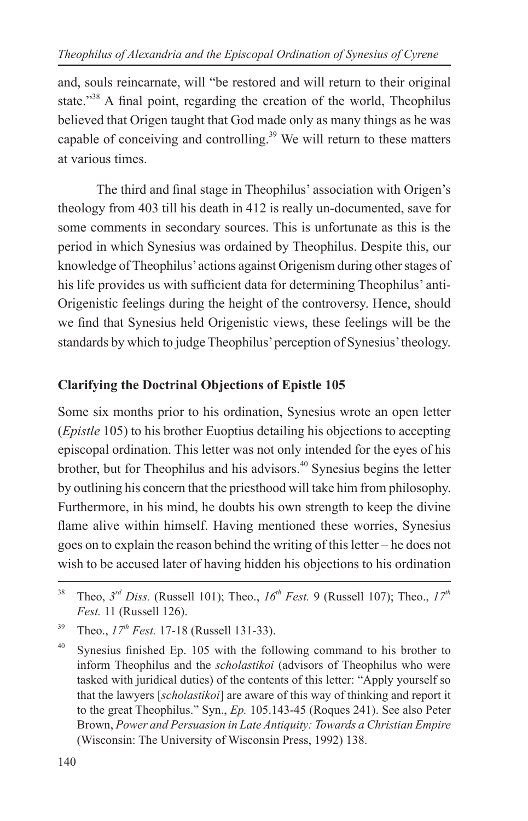and, souls reincarnate, will "be restored and will return to their original state."<sup>38</sup> A final point, regarding the creation of the world, Theophilus believed that Origen taught that God made only as many things as he was capable of conceiving and controlling.<sup>39</sup> We will return to these matters at various times.

The third and final stage in Theophilus' association with Origen's theology from 403 till his death in 412 is really un-documented, save for some comments in secondary sources. This is unfortunate as this is the period in which Synesius was ordained by Theophilus. Despite this, our knowledge of Theophilus' actions against Origenism during other stages of his life provides us with sufficient data for determining Theophilus' anti-Origenistic feelings during the height of the controversy. Hence, should we find that Synesius held Origenistic views, these feelings will be the standards by which to judge Theophilus' perception of Synesius' theology.

#### **Clarifying the Doctrinal Objections of Epistle 105**

Some six months prior to his ordination, Synesius wrote an open letter (*Epistle* 105) to his brother Euoptius detailing his objections to accepting episcopal ordination. This letter was not only intended for the eyes of his brother, but for Theophilus and his advisors.<sup>40</sup> Synesius begins the letter by outlining his concern that the priesthood will take him from philosophy. Furthermore, in his mind, he doubts his own strength to keep the divine flame alive within himself. Having mentioned these worries, Synesius goes on to explain the reason behind the writing of this letter – he does not wish to be accused later of having hidden his objections to his ordination

<sup>&</sup>lt;sup>38</sup> Theo,  $3^{rd}$  Diss. (Russell 101); Theo.,  $16^{th}$  Fest. 9 (Russell 107); Theo.,  $17^{th}$ *Fest.* 11 (Russell 126).

<sup>&</sup>lt;sup>39</sup> Theo.,  $17^{th}$  Fest. 17-18 (Russell 131-33).

 $40$  Synesius finished Ep. 105 with the following command to his brother to inform Theophilus and the *scholastikoi* (advisors of Theophilus who were tasked with juridical duties) of the contents of this letter: "Apply yourself so that the lawyers [*scholastikoi*] are aware of this way of thinking and report it to the great Theophilus." Syn., *Ep.* 105.143-45 (Roques 241). See also Peter Brown, *Power and Persuasion in Late Antiquity: Towards a Christian Empire* (Wisconsin: The University of Wisconsin Press, 1992) 138.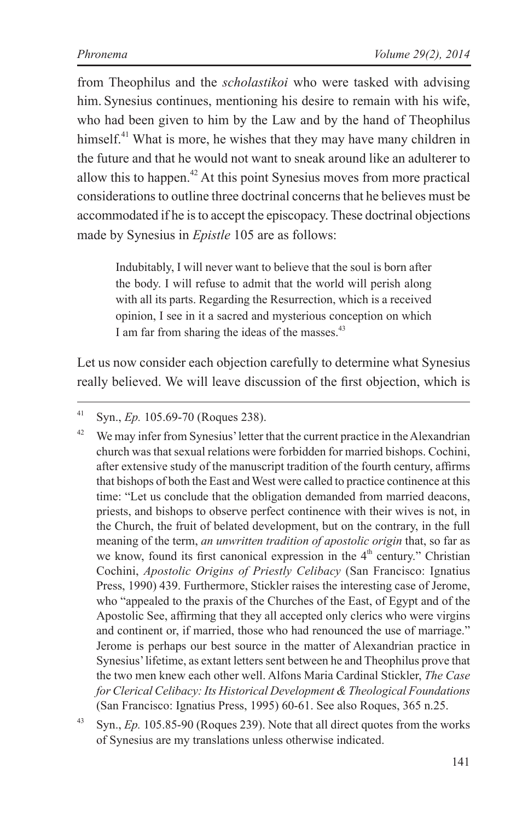from Theophilus and the *scholastikoi* who were tasked with advising him. Synesius continues, mentioning his desire to remain with his wife, who had been given to him by the Law and by the hand of Theophilus himself.<sup>41</sup> What is more, he wishes that they may have many children in the future and that he would not want to sneak around like an adulterer to allow this to happen.<sup> $42$ </sup> At this point Synesius moves from more practical considerations to outline three doctrinal concerns that he believes must be accommodated if he is to accept the episcopacy. These doctrinal objections made by Synesius in *Epistle* 105 are as follows:

Indubitably, I will never want to believe that the soul is born after the body. I will refuse to admit that the world will perish along with all its parts. Regarding the Resurrection, which is a received opinion, I see in it a sacred and mysterious conception on which I am far from sharing the ideas of the masses.<sup>43</sup>

Let us now consider each objection carefully to determine what Synesius really believed. We will leave discussion of the first objection, which is

<sup>41</sup> Syn., *Ep.* 105.69-70 (Roques 238).

 $42$  We may infer from Synesius' letter that the current practice in the Alexandrian church was that sexual relations were forbidden for married bishops. Cochini, after extensive study of the manuscript tradition of the fourth century, affirms that bishops of both the East and West were called to practice continence at this time: "Let us conclude that the obligation demanded from married deacons, priests, and bishops to observe perfect continence with their wives is not, in the Church, the fruit of belated development, but on the contrary, in the full meaning of the term, *an unwritten tradition of apostolic origin* that, so far as we know, found its first canonical expression in the  $4<sup>th</sup>$  century." Christian Cochini, *Apostolic Origins of Priestly Celibacy* (San Francisco: Ignatius Press, 1990) 439. Furthermore, Stickler raises the interesting case of Jerome, who "appealed to the praxis of the Churches of the East, of Egypt and of the Apostolic See, affirming that they all accepted only clerics who were virgins and continent or, if married, those who had renounced the use of marriage." Jerome is perhaps our best source in the matter of Alexandrian practice in Synesius' lifetime, as extant letters sent between he and Theophilus prove that the two men knew each other well. Alfons Maria Cardinal Stickler, *The Case for Clerical Celibacy: Its Historical Development & Theological Foundations* (San Francisco: Ignatius Press, 1995) 60-61. See also Roques, 365 n.25.

<sup>43</sup> Syn., *Ep.* 105.85-90 (Roques 239). Note that all direct quotes from the works of Synesius are my translations unless otherwise indicated.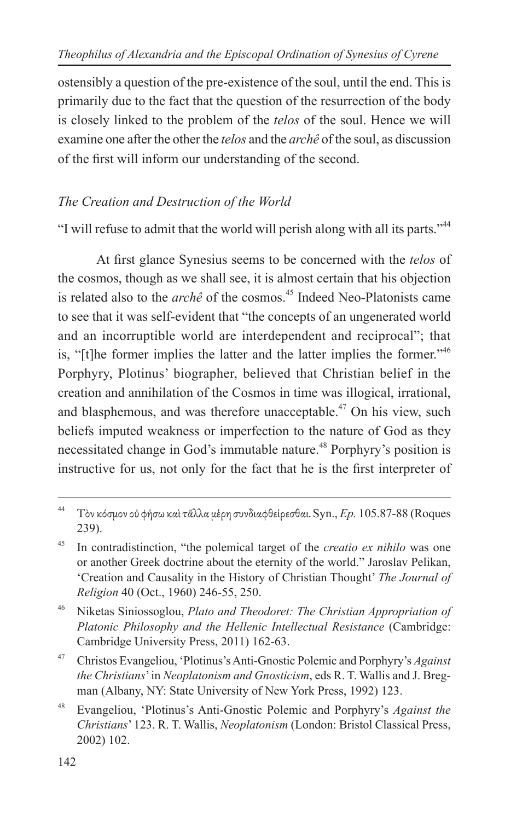ostensibly a question of the pre-existence of the soul, until the end. This is primarily due to the fact that the question of the resurrection of the body is closely linked to the problem of the *telos* of the soul. Hence we will examine one after the other the *telos* and the *archê* of the soul, as discussion of the first will inform our understanding of the second.

#### *The Creation and Destruction of the World*

"I will refuse to admit that the world will perish along with all its parts."<sup>44</sup>

At first glance Synesius seems to be concerned with the *telos* of the cosmos, though as we shall see, it is almost certain that his objection is related also to the *archê* of the cosmos.<sup>45</sup> Indeed Neo-Platonists came to see that it was self-evident that "the concepts of an ungenerated world and an incorruptible world are interdependent and reciprocal"; that is, "[t]he former implies the latter and the latter implies the former."46 Porphyry, Plotinus' biographer, believed that Christian belief in the creation and annihilation of the Cosmos in time was illogical, irrational, and blasphemous, and was therefore unacceptable. $47$  On his view, such beliefs imputed weakness or imperfection to the nature of God as they necessitated change in God's immutable nature.<sup>48</sup> Porphyry's position is instructive for us, not only for the fact that he is the first interpreter of

<sup>46</sup> Niketas Siniossoglou, *Plato and Theodoret: The Christian Appropriation of Platonic Philosophy and the Hellenic Intellectual Resistance* (Cambridge: Cambridge University Press, 2011) 162-63.

<sup>47</sup> Christos Evangeliou, 'Plotinus's Anti-Gnostic Polemic and Porphyry's *Against the Christians*' in *Neoplatonism and Gnosticism*, eds R. T. Wallis and J. Bregman (Albany, NY: State University of New York Press, 1992) 123.

<sup>48</sup> Evangeliou, 'Plotinus's Anti-Gnostic Polemic and Porphyry's *Against the Christians*' 123. R. T. Wallis, *Neoplatonism* (London: Bristol Classical Press, 2002) 102.

<sup>44</sup> Τὸν κόσμον οὐ φήσω καὶ τἄλλα μέρη συνδιαφθείρεσθαι. Syn., *Ep.* 105.87-88 (Roques 239).

<sup>45</sup> In contradistinction, "the polemical target of the *creatio ex nihilo* was one or another Greek doctrine about the eternity of the world." Jaroslav Pelikan, 'Creation and Causality in the History of Christian Thought' *The Journal of Religion* 40 (Oct., 1960) 246-55, 250.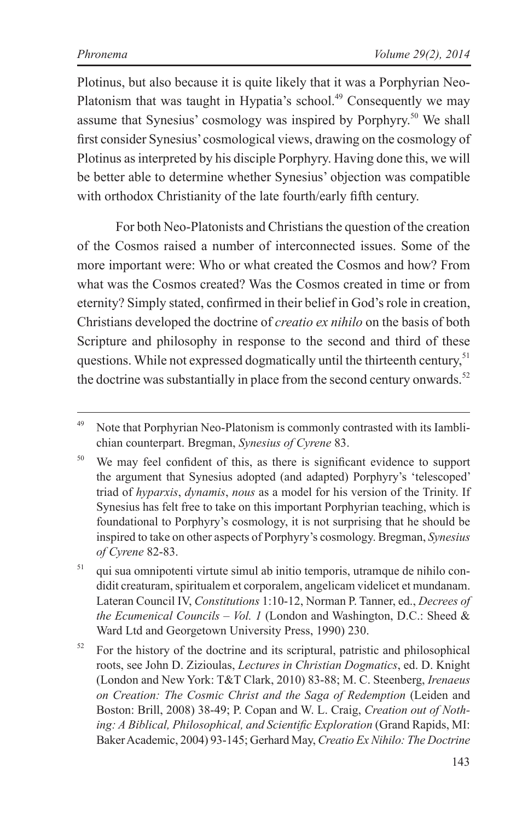Plotinus, but also because it is quite likely that it was a Porphyrian Neo-Platonism that was taught in Hypatia's school.<sup>49</sup> Consequently we may assume that Synesius' cosmology was inspired by Porphyry.50 We shall first consider Synesius' cosmological views, drawing on the cosmology of Plotinus as interpreted by his disciple Porphyry. Having done this, we will be better able to determine whether Synesius' objection was compatible with orthodox Christianity of the late fourth/early fifth century.

For both Neo-Platonists and Christians the question of the creation of the Cosmos raised a number of interconnected issues. Some of the more important were: Who or what created the Cosmos and how? From what was the Cosmos created? Was the Cosmos created in time or from eternity? Simply stated, confirmed in their belief in God's role in creation, Christians developed the doctrine of *creatio ex nihilo* on the basis of both Scripture and philosophy in response to the second and third of these questions. While not expressed dogmatically until the thirteenth century,<sup>51</sup> the doctrine was substantially in place from the second century onwards.<sup>52</sup>

<sup>51</sup> qui sua omnipotenti virtute simul ab initio temporis, utramque de nihilo condidit creaturam, spiritualem et corporalem, angelicam videlicet et mundanam. Lateran Council IV, *Constitutions* 1:10-12, Norman P. Tanner, ed., *Decrees of the Ecumenical Councils – Vol. 1* (London and Washington, D.C.: Sheed & Ward Ltd and Georgetown University Press, 1990) 230.

 $52$  For the history of the doctrine and its scriptural, patristic and philosophical roots, see John D. Zizioulas, *Lectures in Christian Dogmatics*, ed. D. Knight (London and New York: T&T Clark, 2010) 83-88; M. C. Steenberg, *Irenaeus on Creation: The Cosmic Christ and the Saga of Redemption* (Leiden and Boston: Brill, 2008) 38-49; P. Copan and W. L. Craig, *Creation out of Nothing: A Biblical, Philosophical, and Scientific Exploration* (Grand Rapids, MI: Baker Academic, 2004) 93-145; Gerhard May, *Creatio Ex Nihilo: The Doctrine* 

<sup>&</sup>lt;sup>49</sup> Note that Porphyrian Neo-Platonism is commonly contrasted with its Iamblichian counterpart. Bregman, *Synesius of Cyrene* 83.

<sup>&</sup>lt;sup>50</sup> We may feel confident of this, as there is significant evidence to support the argument that Synesius adopted (and adapted) Porphyry's 'telescoped' triad of *hyparxis*, *dynamis*, *nous* as a model for his version of the Trinity. If Synesius has felt free to take on this important Porphyrian teaching, which is foundational to Porphyry's cosmology, it is not surprising that he should be inspired to take on other aspects of Porphyry's cosmology. Bregman, *Synesius of Cyrene* 82-83.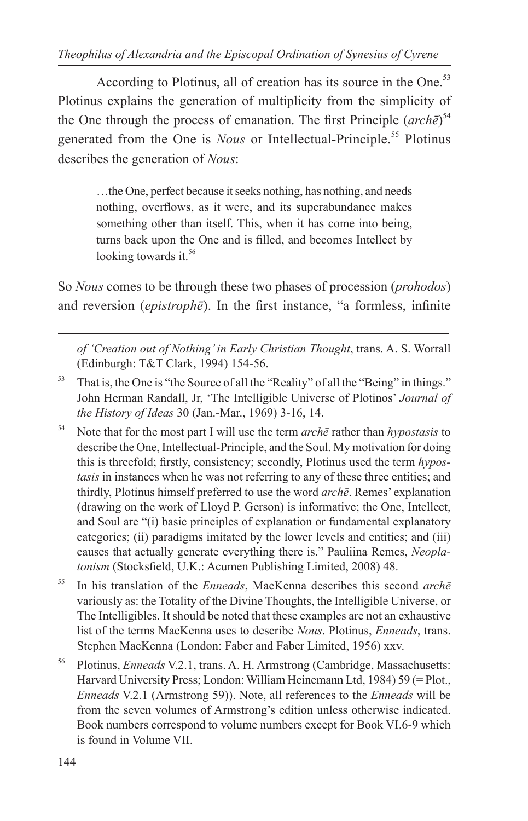According to Plotinus, all of creation has its source in the One.<sup>53</sup> Plotinus explains the generation of multiplicity from the simplicity of the One through the process of emanation. The first Principle (*archē*) 54 generated from the One is *Nous* or Intellectual-Principle.<sup>55</sup> Plotinus describes the generation of *Nous*:

…the One, perfect because it seeks nothing, has nothing, and needs nothing, overflows, as it were, and its superabundance makes something other than itself. This, when it has come into being. turns back upon the One and is filled, and becomes Intellect by looking towards it.<sup>56</sup>

So *Nous* comes to be through these two phases of procession (*prohodos*) and reversion (*epistrophe*). In the first instance, "a formless, infinite

*of 'Creation out of Nothing' in Early Christian Thought*, trans. A. S. Worrall (Edinburgh: T&T Clark, 1994) 154-56.

- <sup>53</sup> That is, the One is "the Source of all the "Reality" of all the "Being" in things." John Herman Randall, Jr, 'The Intelligible Universe of Plotinos' *Journal of the History of Ideas* 30 (Jan.-Mar., 1969) 3-16, 14.
- <sup>54</sup> Note that for the most part I will use the term *archē* rather than *hypostasis* to describe the One, Intellectual-Principle, and the Soul. My motivation for doing this is threefold; firstly, consistency; secondly, Plotinus used the term *hypostasis* in instances when he was not referring to any of these three entities; and thirdly, Plotinus himself preferred to use the word *archē*. Remes' explanation (drawing on the work of Lloyd P. Gerson) is informative; the One, Intellect, and Soul are "(i) basic principles of explanation or fundamental explanatory categories; (ii) paradigms imitated by the lower levels and entities; and (iii) causes that actually generate everything there is." Pauliina Remes, *Neoplatonism* (Stocksfield, U.K.: Acumen Publishing Limited, 2008) 48.
- <sup>55</sup> In his translation of the *Enneads*, MacKenna describes this second *archē* variously as: the Totality of the Divine Thoughts, the Intelligible Universe, or The Intelligibles. It should be noted that these examples are not an exhaustive list of the terms MacKenna uses to describe *Nous*. Plotinus, *Enneads*, trans. Stephen MacKenna (London: Faber and Faber Limited, 1956) xxv.
- <sup>56</sup> Plotinus, *Enneads* V.2.1, trans. A. H. Armstrong (Cambridge, Massachusetts: Harvard University Press; London: William Heinemann Ltd, 1984) 59 (= Plot., *Enneads* V.2.1 (Armstrong 59)). Note, all references to the *Enneads* will be from the seven volumes of Armstrong's edition unless otherwise indicated. Book numbers correspond to volume numbers except for Book VI.6-9 which is found in Volume VII.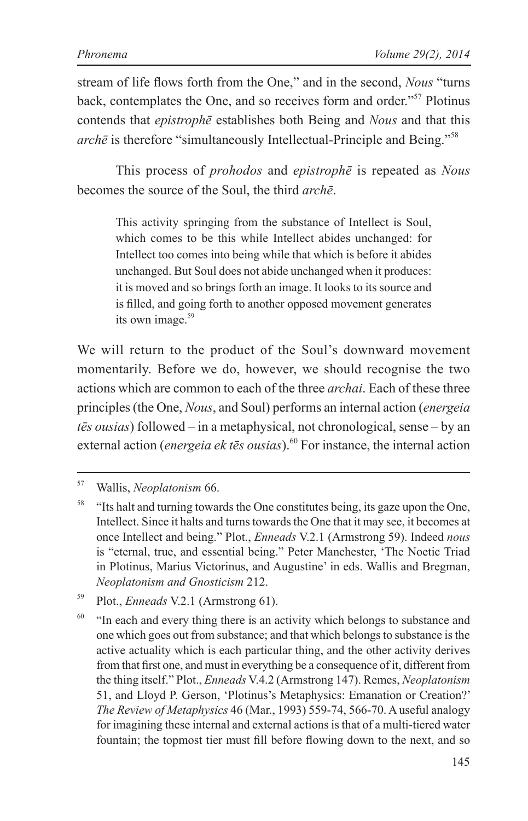stream of life flows forth from the One," and in the second, *Nous* "turns back, contemplates the One, and so receives form and order."57 Plotinus contends that *epistrophē* establishes both Being and *Nous* and that this *archē* is therefore "simultaneously Intellectual-Principle and Being."58

This process of *prohodos* and *epistrophē* is repeated as *Nous* becomes the source of the Soul, the third *archē*.

This activity springing from the substance of Intellect is Soul, which comes to be this while Intellect abides unchanged: for Intellect too comes into being while that which is before it abides unchanged. But Soul does not abide unchanged when it produces: it is moved and so brings forth an image. It looks to its source and is filled, and going forth to another opposed movement generates its own image. $59$ 

We will return to the product of the Soul's downward movement momentarily. Before we do, however, we should recognise the two actions which are common to each of the three *archai*. Each of these three principles (the One, *Nous*, and Soul) performs an internal action (*energeia tēs ousias*) followed – in a metaphysical, not chronological, sense – by an external action (*energeia ek tēs ousias*).<sup>60</sup> For instance, the internal action

<sup>57</sup> Wallis, *Neoplatonism* 66.

<sup>58</sup> "Its halt and turning towards the One constitutes being, its gaze upon the One, Intellect. Since it halts and turns towards the One that it may see, it becomes at once Intellect and being." Plot., *Enneads* V.2.1 (Armstrong 59). Indeed *nous* is "eternal, true, and essential being." Peter Manchester, 'The Noetic Triad in Plotinus, Marius Victorinus, and Augustine' in eds. Wallis and Bregman, *Neoplatonism and Gnosticism* 212.

<sup>59</sup> Plot., *Enneads* V.2.1 (Armstrong 61).

 $60$  "In each and every thing there is an activity which belongs to substance and one which goes out from substance; and that which belongs to substance is the active actuality which is each particular thing, and the other activity derives from that first one, and must in everything be a consequence of it, different from the thing itself." Plot., *Enneads* V.4.2 (Armstrong 147). Remes, *Neoplatonism* 51, and Lloyd P. Gerson, 'Plotinus's Metaphysics: Emanation or Creation?' *The Review of Metaphysics* 46 (Mar., 1993) 559-74, 566-70. A useful analogy for imagining these internal and external actions is that of a multi-tiered water fountain; the topmost tier must fill before flowing down to the next, and so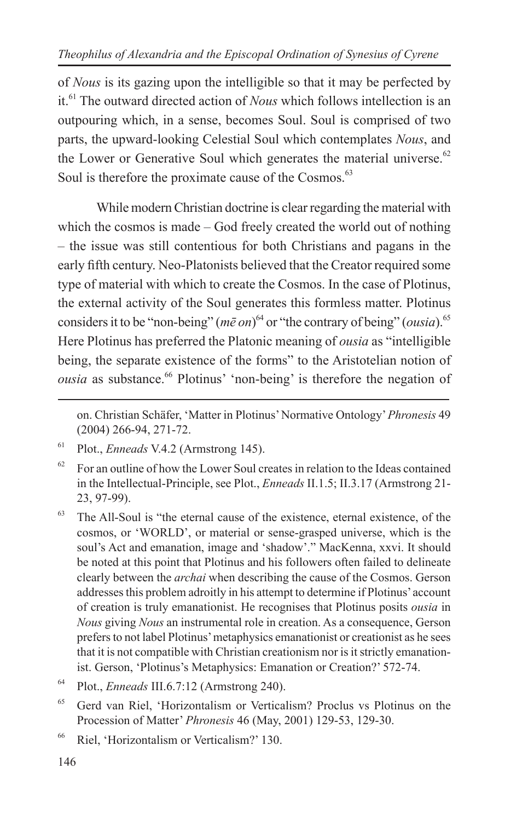of *Nous* is its gazing upon the intelligible so that it may be perfected by it.61 The outward directed action of *Nous* which follows intellection is an outpouring which, in a sense, becomes Soul. Soul is comprised of two parts, the upward-looking Celestial Soul which contemplates *Nous*, and the Lower or Generative Soul which generates the material universe. $62$ Soul is therefore the proximate cause of the Cosmos.<sup>63</sup>

While modern Christian doctrine is clear regarding the material with which the cosmos is made – God freely created the world out of nothing – the issue was still contentious for both Christians and pagans in the early fifth century. Neo-Platonists believed that the Creator required some type of material with which to create the Cosmos. In the case of Plotinus, the external activity of the Soul generates this formless matter. Plotinus considers it to be "non-being" ( $m\bar{\varepsilon}$  on)<sup>64</sup> or "the contrary of being" (*ousia*).<sup>65</sup> Here Plotinus has preferred the Platonic meaning of *ousia* as "intelligible being, the separate existence of the forms" to the Aristotelian notion of *ousia* as substance.<sup>66</sup> Plotinus' 'non-being' is therefore the negation of

on. Christian Schäfer, 'Matter in Plotinus' Normative Ontology' *Phronesis* 49 (2004) 266-94, 271-72.

<sup>61</sup> Plot., *Enneads* V.4.2 (Armstrong 145).

 $62$  For an outline of how the Lower Soul creates in relation to the Ideas contained in the Intellectual-Principle, see Plot., *Enneads* II.1.5; II.3.17 (Armstrong 21- 23, 97-99).

<sup>63</sup> The All-Soul is "the eternal cause of the existence, eternal existence, of the cosmos, or 'WORLD', or material or sense-grasped universe, which is the soul's Act and emanation, image and 'shadow'." MacKenna, xxvi. It should be noted at this point that Plotinus and his followers often failed to delineate clearly between the *archai* when describing the cause of the Cosmos. Gerson addresses this problem adroitly in his attempt to determine if Plotinus' account of creation is truly emanationist. He recognises that Plotinus posits *ousia* in *Nous* giving *Nous* an instrumental role in creation. As a consequence, Gerson prefers to not label Plotinus' metaphysics emanationist or creationist as he sees that it is not compatible with Christian creationism nor is it strictly emanationist. Gerson, 'Plotinus's Metaphysics: Emanation or Creation?' 572-74.

<sup>64</sup> Plot., *Enneads* III.6.7:12 (Armstrong 240).

<sup>65</sup> Gerd van Riel, 'Horizontalism or Verticalism? Proclus vs Plotinus on the Procession of Matter' *Phronesis* 46 (May, 2001) 129-53, 129-30.

<sup>66</sup> Riel, 'Horizontalism or Verticalism?' 130.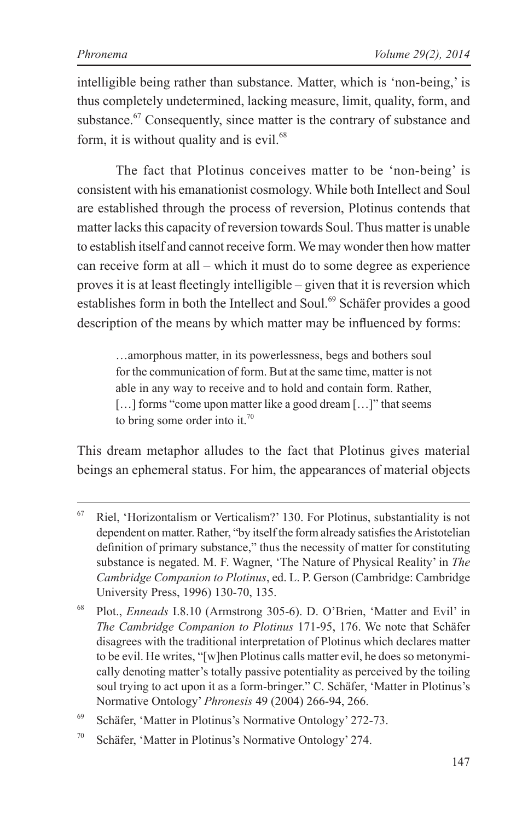intelligible being rather than substance. Matter, which is 'non-being,' is thus completely undetermined, lacking measure, limit, quality, form, and substance.<sup>67</sup> Consequently, since matter is the contrary of substance and form, it is without quality and is  $e$ vil.<sup>68</sup>

The fact that Plotinus conceives matter to be 'non-being' is consistent with his emanationist cosmology. While both Intellect and Soul are established through the process of reversion, Plotinus contends that matter lacks this capacity of reversion towards Soul. Thus matter is unable to establish itself and cannot receive form. We may wonder then how matter can receive form at all – which it must do to some degree as experience proves it is at least fleetingly intelligible – given that it is reversion which establishes form in both the Intellect and Soul.<sup>69</sup> Schäfer provides a good description of the means by which matter may be influenced by forms:

…amorphous matter, in its powerlessness, begs and bothers soul for the communication of form. But at the same time, matter is not able in any way to receive and to hold and contain form. Rather, [...] forms "come upon matter like a good dream [...]" that seems to bring some order into it.<sup>70</sup>

This dream metaphor alludes to the fact that Plotinus gives material beings an ephemeral status. For him, the appearances of material objects

<sup>67</sup> Riel, 'Horizontalism or Verticalism?' 130. For Plotinus, substantiality is not dependent on matter. Rather, "by itself the form already satisfies the Aristotelian definition of primary substance," thus the necessity of matter for constituting substance is negated. M. F. Wagner, 'The Nature of Physical Reality' in *The Cambridge Companion to Plotinus*, ed. L. P. Gerson (Cambridge: Cambridge University Press, 1996) 130-70, 135.

<sup>68</sup> Plot., *Enneads* I.8.10 (Armstrong 305-6). D. O'Brien, 'Matter and Evil' in *The Cambridge Companion to Plotinus* 171-95, 176. We note that Schäfer disagrees with the traditional interpretation of Plotinus which declares matter to be evil. He writes, "[w]hen Plotinus calls matter evil, he does so metonymically denoting matter's totally passive potentiality as perceived by the toiling soul trying to act upon it as a form-bringer." C. Schäfer, 'Matter in Plotinus's Normative Ontology' *Phronesis* 49 (2004) 266-94, 266.

<sup>69</sup> Schäfer, 'Matter in Plotinus's Normative Ontology' 272-73.

<sup>70</sup> Schäfer, 'Matter in Plotinus's Normative Ontology' 274.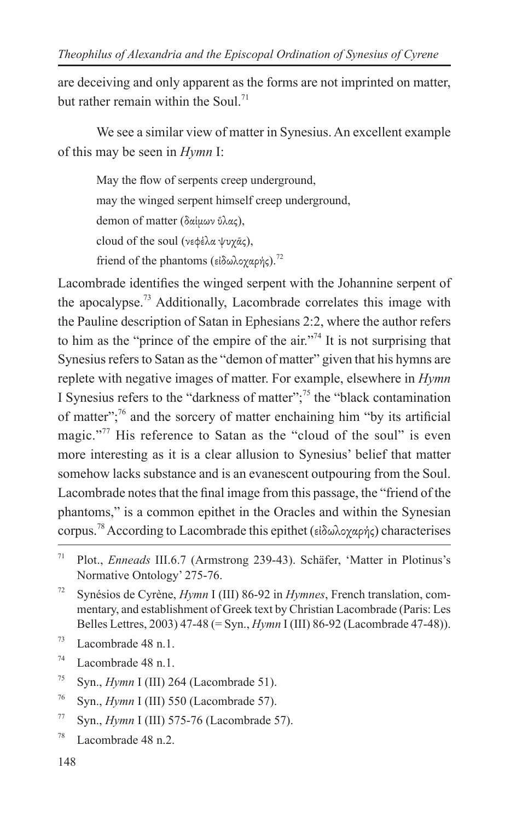are deceiving and only apparent as the forms are not imprinted on matter, but rather remain within the Soul<sup>71</sup>

We see a similar view of matter in Synesius. An excellent example of this may be seen in *Hymn* I:

May the flow of serpents creep underground, may the winged serpent himself creep underground, demon of matter (δαίμων ύλας). cloud of the soul (νεφέλα ψυχᾶς), friend of the phantoms (εἰδωλογαρής).<sup>72</sup>

Lacombrade identifies the winged serpent with the Johannine serpent of the apocalypse.73 Additionally, Lacombrade correlates this image with the Pauline description of Satan in Ephesians 2:2, where the author refers to him as the "prince of the empire of the air."<sup>74</sup> It is not surprising that Synesius refers to Satan as the "demon of matter" given that his hymns are replete with negative images of matter. For example, elsewhere in *Hymn*  I Synesius refers to the "darkness of matter";<sup>75</sup> the "black contamination" of matter";76 and the sorcery of matter enchaining him "by its artificial magic."<sup>77</sup> His reference to Satan as the "cloud of the soul" is even more interesting as it is a clear allusion to Synesius' belief that matter somehow lacks substance and is an evanescent outpouring from the Soul. Lacombrade notes that the final image from this passage, the "friend of the phantoms," is a common epithet in the Oracles and within the Synesian corpus.78 According to Lacombrade this epithet (εἰδωλοχαρής) characterises

- <sup>76</sup> Syn., *Hymn* I (III) 550 (Lacombrade 57).
- <sup>77</sup> Syn., *Hymn* I (III) 575-76 (Lacombrade 57).
- $78$  Lacombrade 48 n.2.

<sup>71</sup> Plot., *Enneads* III.6.7 (Armstrong 239-43). Schäfer, 'Matter in Plotinus's Normative Ontology' 275-76.

<sup>72</sup> Synésios de Cyrène, *Hymn* I (III) 86-92 in *Hymnes*, French translation, commentary, and establishment of Greek text by Christian Lacombrade (Paris: Les Belles Lettres, 2003) 47-48 (= Syn., *Hymn* I (III) 86-92 (Lacombrade 47-48)).

 $73$  Lacombrade 48 n.1.

 $74$  Lacombrade 48 n.1.

<sup>&</sup>lt;sup>75</sup> Syn., *Hymn* I (III) 264 (Lacombrade 51).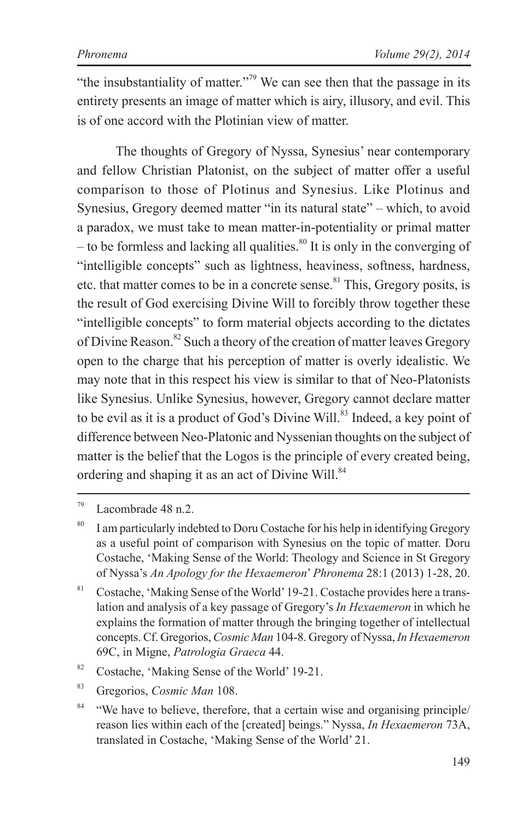"the insubstantiality of matter."<sup>79</sup> We can see then that the passage in its entirety presents an image of matter which is airy, illusory, and evil. This is of one accord with the Plotinian view of matter.

The thoughts of Gregory of Nyssa, Synesius' near contemporary and fellow Christian Platonist, on the subject of matter offer a useful comparison to those of Plotinus and Synesius. Like Plotinus and Synesius, Gregory deemed matter "in its natural state" – which, to avoid a paradox, we must take to mean matter-in-potentiality or primal matter – to be formless and lacking all qualities.<sup>80</sup> It is only in the converging of "intelligible concepts" such as lightness, heaviness, softness, hardness, etc. that matter comes to be in a concrete sense.<sup>81</sup> This, Gregory posits, is the result of God exercising Divine Will to forcibly throw together these "intelligible concepts" to form material objects according to the dictates of Divine Reason.<sup>82</sup> Such a theory of the creation of matter leaves Gregory open to the charge that his perception of matter is overly idealistic. We may note that in this respect his view is similar to that of Neo-Platonists like Synesius. Unlike Synesius, however, Gregory cannot declare matter to be evil as it is a product of God's Divine Will.<sup>83</sup> Indeed, a key point of difference between Neo-Platonic and Nyssenian thoughts on the subject of matter is the belief that the Logos is the principle of every created being, ordering and shaping it as an act of Divine Will.<sup>84</sup>

<sup>81</sup> Costache, 'Making Sense of the World' 19-21. Costache provides here a translation and analysis of a key passage of Gregory's *In Hexaemeron* in which he explains the formation of matter through the bringing together of intellectual concepts. Cf. Gregorios, *Cosmic Man* 104-8. Gregory of Nyssa, *In Hexaemeron*  69C, in Migne, *Patrologia Graeca* 44.

<sup>83</sup> Gregorios, *Cosmic Man* 108.

<sup>79</sup> Lacombrade 48 n.2.

<sup>&</sup>lt;sup>80</sup> I am particularly indebted to Doru Costache for his help in identifying Gregory as a useful point of comparison with Synesius on the topic of matter. Doru Costache, 'Making Sense of the World: Theology and Science in St Gregory of Nyssa's *An Apology for the Hexaemeron*' *Phronema* 28:1 (2013) 1-28, 20.

<sup>82</sup> Costache, 'Making Sense of the World' 19-21.

<sup>&</sup>lt;sup>84</sup> "We have to believe, therefore, that a certain wise and organising principle/ reason lies within each of the [created] beings." Nyssa, *In Hexaemeron* 73A, translated in Costache, 'Making Sense of the World' 21.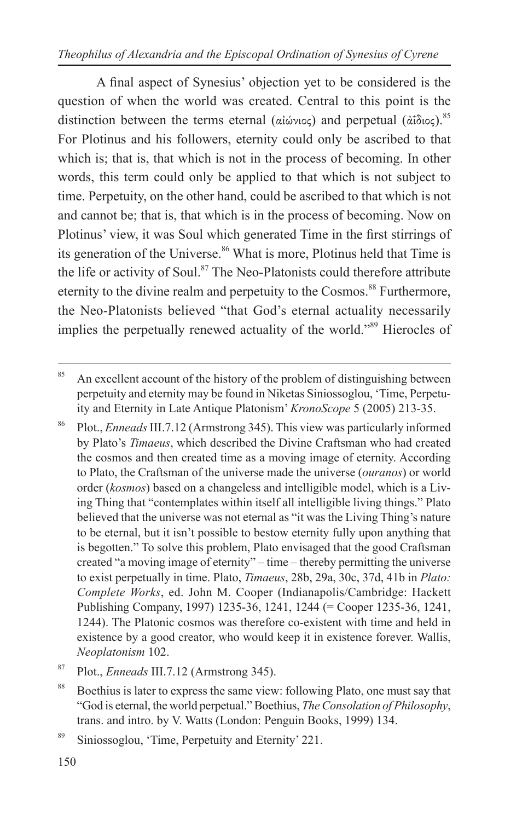#### *Theophilus of Alexandria and the Episcopal Ordination of Synesius of Cyrene*

A final aspect of Synesius' objection yet to be considered is the question of when the world was created. Central to this point is the distinction between the terms eternal (αἰώνιος) and perpetual (ἀΐδιος).<sup>85</sup> For Plotinus and his followers, eternity could only be ascribed to that which is; that is, that which is not in the process of becoming. In other words, this term could only be applied to that which is not subject to time. Perpetuity, on the other hand, could be ascribed to that which is not and cannot be; that is, that which is in the process of becoming. Now on Plotinus' view, it was Soul which generated Time in the first stirrings of its generation of the Universe.<sup>86</sup> What is more, Plotinus held that Time is the life or activity of Soul. $87$  The Neo-Platonists could therefore attribute eternity to the divine realm and perpetuity to the Cosmos.<sup>88</sup> Furthermore, the Neo-Platonists believed "that God's eternal actuality necessarily implies the perpetually renewed actuality of the world."<sup>89</sup> Hierocles of

<sup>86</sup> Plot., *Enneads* III.7.12 (Armstrong 345). This view was particularly informed by Plato's *Timaeus*, which described the Divine Craftsman who had created the cosmos and then created time as a moving image of eternity. According to Plato, the Craftsman of the universe made the universe (*ouranos*) or world order (*kosmos*) based on a changeless and intelligible model, which is a Living Thing that "contemplates within itself all intelligible living things." Plato believed that the universe was not eternal as "it was the Living Thing's nature to be eternal, but it isn't possible to bestow eternity fully upon anything that is begotten." To solve this problem, Plato envisaged that the good Craftsman created "a moving image of eternity" – time – thereby permitting the universe to exist perpetually in time. Plato, *Timaeus*, 28b, 29a, 30c, 37d, 41b in *Plato: Complete Works*, ed. John M. Cooper (Indianapolis/Cambridge: Hackett Publishing Company, 1997) 1235-36, 1241, 1244 (= Cooper 1235-36, 1241, 1244). The Platonic cosmos was therefore co-existent with time and held in existence by a good creator, who would keep it in existence forever. Wallis, *Neoplatonism* 102.

 $85$  An excellent account of the history of the problem of distinguishing between perpetuity and eternity may be found in Niketas Siniossoglou, 'Time, Perpetuity and Eternity in Late Antique Platonism' *KronoScope* 5 (2005) 213-35.

<sup>87</sup> Plot., *Enneads* III.7.12 (Armstrong 345).

<sup>&</sup>lt;sup>88</sup> Boethius is later to express the same view: following Plato, one must say that "God is eternal, the world perpetual." Boethius, *The Consolation of Philosophy*, trans. and intro. by V. Watts (London: Penguin Books, 1999) 134.

<sup>89</sup> Siniossoglou, 'Time, Perpetuity and Eternity' 221.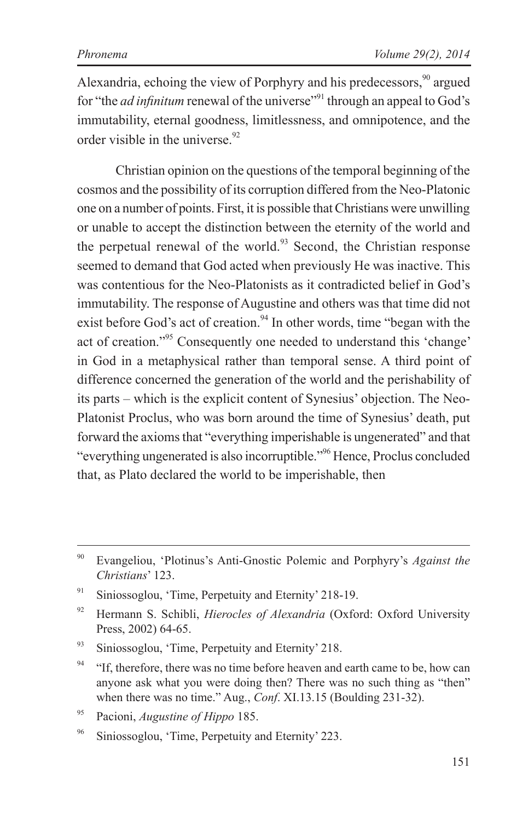Alexandria, echoing the view of Porphyry and his predecessors,  $\frac{90}{90}$  argued for "the *ad infinitum* renewal of the universe"<sup>91</sup> through an appeal to God's immutability, eternal goodness, limitlessness, and omnipotence, and the order visible in the universe.  $92$ 

Christian opinion on the questions of the temporal beginning of the cosmos and the possibility of its corruption differed from the Neo-Platonic one on a number of points. First, it is possible that Christians were unwilling or unable to accept the distinction between the eternity of the world and the perpetual renewal of the world.<sup>93</sup> Second, the Christian response seemed to demand that God acted when previously He was inactive. This was contentious for the Neo-Platonists as it contradicted belief in God's immutability. The response of Augustine and others was that time did not exist before God's act of creation.<sup>94</sup> In other words, time "began with the act of creation."95 Consequently one needed to understand this 'change' in God in a metaphysical rather than temporal sense. A third point of difference concerned the generation of the world and the perishability of its parts – which is the explicit content of Synesius' objection. The Neo-Platonist Proclus, who was born around the time of Synesius' death, put forward the axioms that "everything imperishable is ungenerated" and that "everything ungenerated is also incorruptible."96 Hence, Proclus concluded that, as Plato declared the world to be imperishable, then

<sup>90</sup> Evangeliou, 'Plotinus's Anti-Gnostic Polemic and Porphyry's *Against the Christians*' 123.

<sup>&</sup>lt;sup>91</sup> Siniossoglou, 'Time, Perpetuity and Eternity' 218-19.

<sup>92</sup> Hermann S. Schibli, *Hierocles of Alexandria* (Oxford: Oxford University Press, 2002) 64-65.

<sup>&</sup>lt;sup>93</sup> Siniossoglou, 'Time, Perpetuity and Eternity' 218.

 $94$  "If, therefore, there was no time before heaven and earth came to be, how can anyone ask what you were doing then? There was no such thing as "then" when there was no time." Aug., *Conf*. XI.13.15 (Boulding 231-32).

<sup>95</sup> Pacioni, *Augustine of Hippo* 185.

<sup>96</sup> Siniossoglou, 'Time, Perpetuity and Eternity' 223.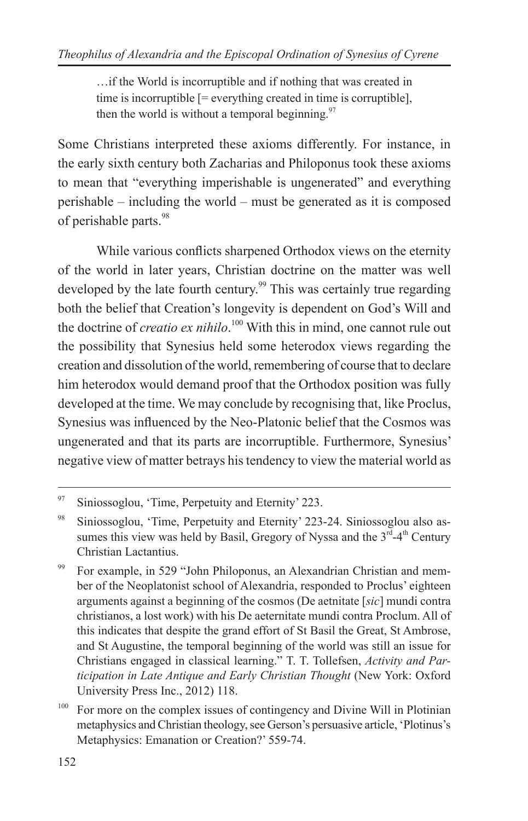…if the World is incorruptible and if nothing that was created in time is incorruptible [= everything created in time is corruptible], then the world is without a temporal beginning. $97$ 

Some Christians interpreted these axioms differently. For instance, in the early sixth century both Zacharias and Philoponus took these axioms to mean that "everything imperishable is ungenerated" and everything perishable – including the world – must be generated as it is composed of perishable parts.<sup>98</sup>

While various conflicts sharpened Orthodox views on the eternity of the world in later years, Christian doctrine on the matter was well developed by the late fourth century.<sup>99</sup> This was certainly true regarding both the belief that Creation's longevity is dependent on God's Will and the doctrine of *creatio ex nihilo*. 100 With this in mind, one cannot rule out the possibility that Synesius held some heterodox views regarding the creation and dissolution of the world, remembering of course that to declare him heterodox would demand proof that the Orthodox position was fully developed at the time. We may conclude by recognising that, like Proclus, Synesius was influenced by the Neo-Platonic belief that the Cosmos was ungenerated and that its parts are incorruptible. Furthermore, Synesius' negative view of matter betrays his tendency to view the material world as

<sup>97</sup> Siniossoglou, 'Time, Perpetuity and Eternity' 223.

<sup>98</sup> Siniossoglou, 'Time, Perpetuity and Eternity' 223-24. Siniossoglou also assumes this view was held by Basil, Gregory of Nyssa and the  $3^{rd} - 4^{th}$  Century Christian Lactantius.

<sup>&</sup>lt;sup>99</sup> For example, in 529 "John Philoponus, an Alexandrian Christian and member of the Neoplatonist school of Alexandria, responded to Proclus' eighteen arguments against a beginning of the cosmos (De aetnitate [*sic*] mundi contra christianos, a lost work) with his De aeternitate mundi contra Proclum. All of this indicates that despite the grand effort of St Basil the Great, St Ambrose, and St Augustine, the temporal beginning of the world was still an issue for Christians engaged in classical learning." T. T. Tollefsen, *Activity and Participation in Late Antique and Early Christian Thought* (New York: Oxford University Press Inc., 2012) 118.

<sup>&</sup>lt;sup>100</sup> For more on the complex issues of contingency and Divine Will in Plotinian metaphysics and Christian theology, see Gerson's persuasive article, 'Plotinus's Metaphysics: Emanation or Creation?' 559-74.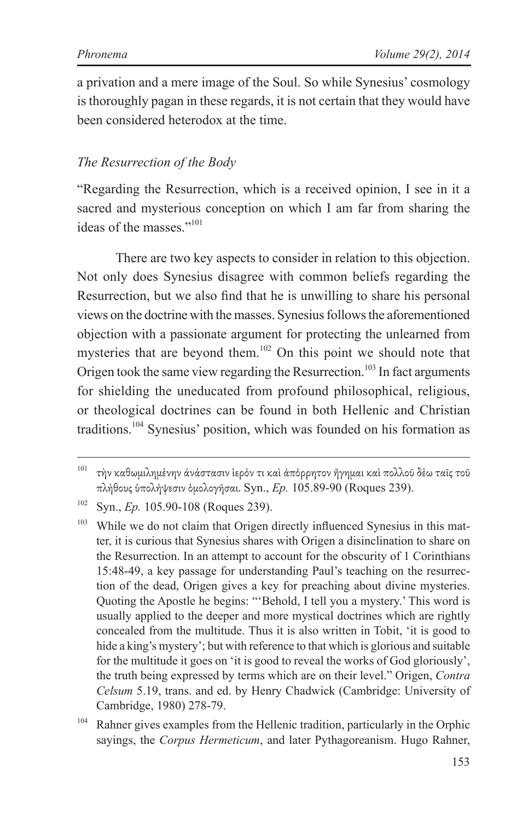a privation and a mere image of the Soul. So while Synesius' cosmology is thoroughly pagan in these regards, it is not certain that they would have been considered heterodox at the time.

#### *The Resurrection of the Body*

"Regarding the Resurrection, which is a received opinion, I see in it a sacred and mysterious conception on which I am far from sharing the ideas of the masses<sup>"101</sup>

There are two key aspects to consider in relation to this objection. Not only does Synesius disagree with common beliefs regarding the Resurrection, but we also find that he is unwilling to share his personal views on the doctrine with the masses. Synesius follows the aforementioned objection with a passionate argument for protecting the unlearned from mysteries that are beyond them.<sup>102</sup> On this point we should note that Origen took the same view regarding the Resurrection.<sup>103</sup> In fact arguments for shielding the uneducated from profound philosophical, religious, or theological doctrines can be found in both Hellenic and Christian traditions.<sup>104</sup> Synesius' position, which was founded on his formation as

<sup>&</sup>lt;sup>101</sup> τὴν καθωμιλημένην ἀνάστασιν ἱερόν τι καὶ ἀπόρρητον ἤγημαι καὶ πολλοῦ δέω ταῖς τοῦ πλήθους ὑπολήψεσιν ὁμολογῆσαι. Syn., *Ep.* 105.89-90 (Roques 239).

<sup>&</sup>lt;sup>102</sup> Syn., *Ep.* 105.90-108 (Roques 239).

<sup>&</sup>lt;sup>103</sup> While we do not claim that Origen directly influenced Synesius in this matter, it is curious that Synesius shares with Origen a disinclination to share on the Resurrection. In an attempt to account for the obscurity of 1 Corinthians 15:48-49, a key passage for understanding Paul's teaching on the resurrection of the dead, Origen gives a key for preaching about divine mysteries. Quoting the Apostle he begins: "'Behold, I tell you a mystery.' This word is usually applied to the deeper and more mystical doctrines which are rightly concealed from the multitude. Thus it is also written in Tobit, 'it is good to hide a king's mystery'; but with reference to that which is glorious and suitable for the multitude it goes on 'it is good to reveal the works of God gloriously', the truth being expressed by terms which are on their level." Origen, *Contra Celsum* 5.19, trans. and ed. by Henry Chadwick (Cambridge: University of Cambridge, 1980) 278-79.

<sup>&</sup>lt;sup>104</sup> Rahner gives examples from the Hellenic tradition, particularly in the Orphic sayings, the *Corpus Hermeticum*, and later Pythagoreanism. Hugo Rahner,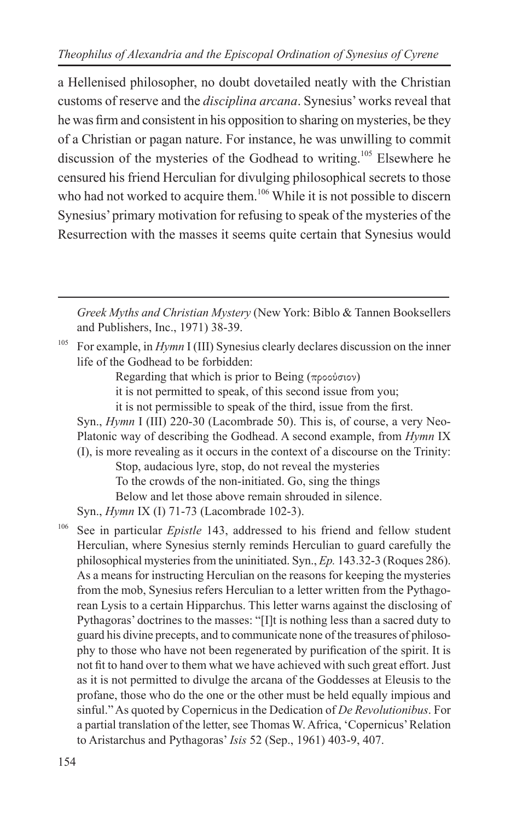a Hellenised philosopher, no doubt dovetailed neatly with the Christian customs of reserve and the *disciplina arcana*. Synesius' works reveal that he was firm and consistent in his opposition to sharing on mysteries, be they of a Christian or pagan nature. For instance, he was unwilling to commit discussion of the mysteries of the Godhead to writing.<sup>105</sup> Elsewhere he censured his friend Herculian for divulging philosophical secrets to those who had not worked to acquire them.<sup>106</sup> While it is not possible to discern Synesius' primary motivation for refusing to speak of the mysteries of the Resurrection with the masses it seems quite certain that Synesius would

*Greek Myths and Christian Mystery* (New York: Biblo & Tannen Booksellers and Publishers, Inc., 1971) 38-39.

<sup>105</sup> For example, in *Hymn* I (III) Synesius clearly declares discussion on the inner life of the Godhead to be forbidden:

Regarding that which is prior to Being (προούσιον)

it is not permitted to speak, of this second issue from you;

it is not permissible to speak of the third, issue from the first.

Syn., *Hymn* I (III) 220-30 (Lacombrade 50). This is, of course, a very Neo-Platonic way of describing the Godhead. A second example, from *Hymn* IX (I), is more revealing as it occurs in the context of a discourse on the Trinity:

Stop, audacious lyre, stop, do not reveal the mysteries To the crowds of the non-initiated. Go, sing the things Below and let those above remain shrouded in silence.

Syn., *Hymn* IX (I) 71-73 (Lacombrade 102-3).

<sup>106</sup> See in particular *Epistle* 143, addressed to his friend and fellow student Herculian, where Synesius sternly reminds Herculian to guard carefully the philosophical mysteries from the uninitiated. Syn., *Ep.* 143.32-3 (Roques 286). As a means for instructing Herculian on the reasons for keeping the mysteries from the mob, Synesius refers Herculian to a letter written from the Pythagorean Lysis to a certain Hipparchus. This letter warns against the disclosing of Pythagoras' doctrines to the masses: "[I]t is nothing less than a sacred duty to guard his divine precepts, and to communicate none of the treasures of philosophy to those who have not been regenerated by purification of the spirit. It is not fit to hand over to them what we have achieved with such great effort. Just as it is not permitted to divulge the arcana of the Goddesses at Eleusis to the profane, those who do the one or the other must be held equally impious and sinful." As quoted by Copernicus in the Dedication of *De Revolutionibus*. For a partial translation of the letter, see Thomas W. Africa, 'Copernicus' Relation to Aristarchus and Pythagoras' *Isis* 52 (Sep., 1961) 403-9, 407.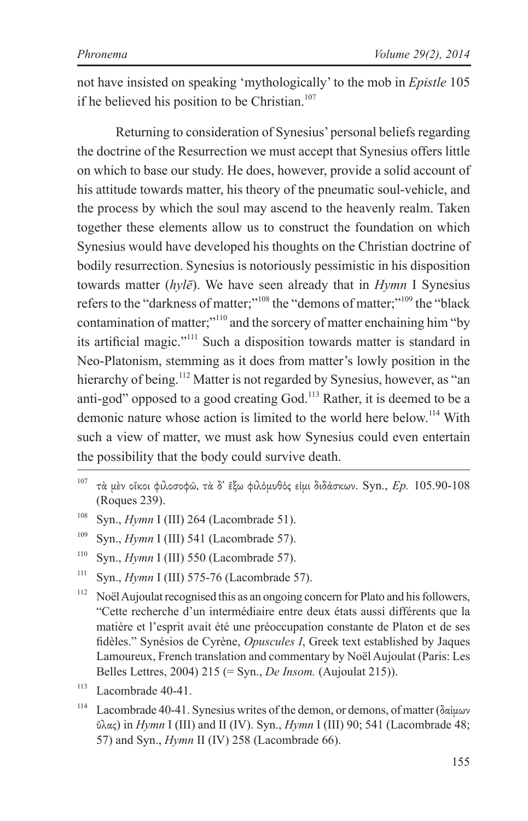not have insisted on speaking 'mythologically' to the mob in *Epistle* 105 if he believed his position to be Christian.<sup>107</sup>

Returning to consideration of Synesius' personal beliefs regarding the doctrine of the Resurrection we must accept that Synesius offers little on which to base our study. He does, however, provide a solid account of his attitude towards matter, his theory of the pneumatic soul-vehicle, and the process by which the soul may ascend to the heavenly realm. Taken together these elements allow us to construct the foundation on which Synesius would have developed his thoughts on the Christian doctrine of bodily resurrection. Synesius is notoriously pessimistic in his disposition towards matter (*hylē*). We have seen already that in *Hymn* I Synesius refers to the "darkness of matter;"108 the "demons of matter;"109 the "black contamination of matter;<sup>"110</sup> and the sorcery of matter enchaining him "by" its artificial magic."111 Such a disposition towards matter is standard in Neo-Platonism, stemming as it does from matter's lowly position in the hierarchy of being.<sup>112</sup> Matter is not regarded by Synesius, however, as "an anti-god" opposed to a good creating God.<sup>113</sup> Rather, it is deemed to be a demonic nature whose action is limited to the world here below.<sup>114</sup> With such a view of matter, we must ask how Synesius could even entertain the possibility that the body could survive death.

- <sup>107</sup> τὰ μὲν οἴκοι φιλοσοφῶ, τὰ δ' ἔξω φιλόμυθός εἰμι διδάσκων. Syn., *Ep.* 105.90-108 (Roques 239).
- <sup>108</sup> Syn., *Hymn* I (III) 264 (Lacombrade 51).
- <sup>109</sup> Syn., *Hymn* I (III) 541 (Lacombrade 57).
- <sup>110</sup> Syn., *Hymn* I (III) 550 (Lacombrade 57).
- <sup>111</sup> Syn., *Hymn* I (III) 575-76 (Lacombrade 57).
- <sup>112</sup> Noël Aujoulat recognised this as an ongoing concern for Plato and his followers, "Cette recherche d'un intermédiaire entre deux états aussi différents que la matière et l'esprit avait été une préoccupation constante de Platon et de ses fidèles." Synésios de Cyrène, *Opuscules I*, Greek text established by Jaques Lamoureux, French translation and commentary by Noël Aujoulat (Paris: Les Belles Lettres, 2004) 215 (= Syn., *De Insom.* (Aujoulat 215)).
- $113$  Lacombrade 40-41.
- <sup>114</sup> Lacombrade 40-41. Synesius writes of the demon, or demons, of matter (δαίμων ὕλας) in *Hymn* I (III) and II (IV). Syn., *Hymn* I (III) 90; 541 (Lacombrade 48; 57) and Syn., *Hymn* II (IV) 258 (Lacombrade 66).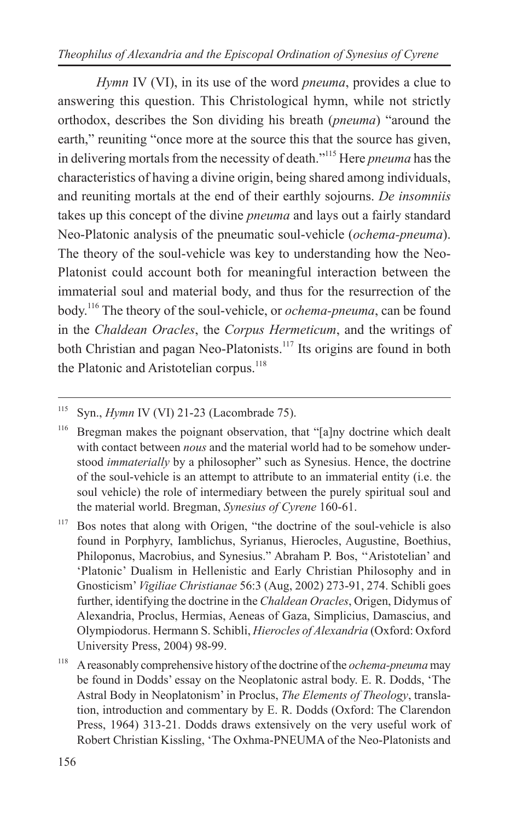*Theophilus of Alexandria and the Episcopal Ordination of Synesius of Cyrene*

*Hymn* IV (VI), in its use of the word *pneuma*, provides a clue to answering this question. This Christological hymn, while not strictly orthodox, describes the Son dividing his breath (*pneuma*) "around the earth," reuniting "once more at the source this that the source has given, in delivering mortals from the necessity of death."115 Here *pneuma* has the characteristics of having a divine origin, being shared among individuals, and reuniting mortals at the end of their earthly sojourns. *De insomniis* takes up this concept of the divine *pneuma* and lays out a fairly standard Neo-Platonic analysis of the pneumatic soul-vehicle (*ochema-pneuma*). The theory of the soul-vehicle was key to understanding how the Neo-Platonist could account both for meaningful interaction between the immaterial soul and material body, and thus for the resurrection of the body.116 The theory of the soul-vehicle, or *ochema-pneuma*, can be found in the *Chaldean Oracles*, the *Corpus Hermeticum*, and the writings of both Christian and pagan Neo-Platonists.<sup>117</sup> Its origins are found in both the Platonic and Aristotelian corpus.<sup>118</sup>

<sup>115</sup> Syn., *Hymn* IV (VI) 21-23 (Lacombrade 75).

<sup>&</sup>lt;sup>116</sup> Bregman makes the poignant observation, that "[a]ny doctrine which dealt with contact between *nous* and the material world had to be somehow understood *immaterially* by a philosopher" such as Synesius. Hence, the doctrine of the soul-vehicle is an attempt to attribute to an immaterial entity (i.e. the soul vehicle) the role of intermediary between the purely spiritual soul and the material world. Bregman, *Synesius of Cyrene* 160-61.

 $117$  Bos notes that along with Origen, "the doctrine of the soul-vehicle is also found in Porphyry, Iamblichus, Syrianus, Hierocles, Augustine, Boethius, Philoponus, Macrobius, and Synesius." Abraham P. Bos, ''Aristotelian' and 'Platonic' Dualism in Hellenistic and Early Christian Philosophy and in Gnosticism' *Vigiliae Christianae* 56:3 (Aug, 2002) 273-91, 274. Schibli goes further, identifying the doctrine in the *Chaldean Oracles*, Origen, Didymus of Alexandria, Proclus, Hermias, Aeneas of Gaza, Simplicius, Damascius, and Olympiodorus. Hermann S. Schibli, *Hierocles of Alexandria* (Oxford: Oxford University Press, 2004) 98-99.

<sup>118</sup> A reasonably comprehensive history of the doctrine of the *ochema-pneuma* may be found in Dodds' essay on the Neoplatonic astral body. E. R. Dodds, 'The Astral Body in Neoplatonism' in Proclus, *The Elements of Theology*, translation, introduction and commentary by E. R. Dodds (Oxford: The Clarendon Press, 1964) 313-21. Dodds draws extensively on the very useful work of Robert Christian Kissling, 'The Oxhma-PNEUMA of the Neo-Platonists and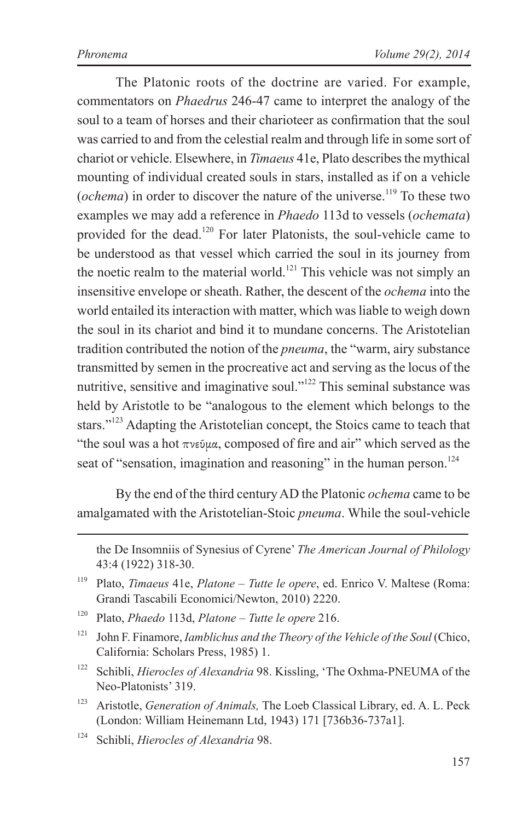The Platonic roots of the doctrine are varied. For example, commentators on *Phaedrus* 246-47 came to interpret the analogy of the soul to a team of horses and their charioteer as confirmation that the soul was carried to and from the celestial realm and through life in some sort of chariot or vehicle. Elsewhere, in *Timaeus* 41e, Plato describes the mythical mounting of individual created souls in stars, installed as if on a vehicle (*ochema*) in order to discover the nature of the universe.<sup>119</sup> To these two examples we may add a reference in *Phaedo* 113d to vessels (*ochemata*) provided for the dead.<sup>120</sup> For later Platonists, the soul-vehicle came to be understood as that vessel which carried the soul in its journey from the noetic realm to the material world.<sup>121</sup> This vehicle was not simply an insensitive envelope or sheath. Rather, the descent of the *ochema* into the world entailed its interaction with matter, which was liable to weigh down the soul in its chariot and bind it to mundane concerns. The Aristotelian tradition contributed the notion of the *pneuma*, the "warm, airy substance transmitted by semen in the procreative act and serving as the locus of the nutritive, sensitive and imaginative soul."<sup>122</sup> This seminal substance was held by Aristotle to be "analogous to the element which belongs to the stars."<sup>123</sup> Adapting the Aristotelian concept, the Stoics came to teach that "the soul was a hot  $\pi$ νεῦμα, composed of fire and air" which served as the seat of "sensation, imagination and reasoning" in the human person.<sup>124</sup>

By the end of the third century AD the Platonic *ochema* came to be amalgamated with the Aristotelian-Stoic *pneuma*. While the soul-vehicle

- <sup>121</sup> John F. Finamore, *Iamblichus and the Theory of the Vehicle of the Soul* (Chico, California: Scholars Press, 1985) 1.
- <sup>122</sup> Schibli, *Hierocles of Alexandria* 98. Kissling, 'The Oxhma-PNEUMA of the Neo-Platonists' 319.
- <sup>123</sup> Aristotle, *Generation of Animals,* The Loeb Classical Library, ed. A. L. Peck (London: William Heinemann Ltd, 1943) 171 [736b36-737a1].

the De Insomniis of Synesius of Cyrene' *The American Journal of Philology* 43:4 (1922) 318-30.

<sup>119</sup> Plato, *Timaeus* 41e, *Platone – Tutte le opere*, ed. Enrico V. Maltese (Roma: Grandi Tascabili Economici/Newton, 2010) 2220.

<sup>120</sup> Plato, *Phaedo* 113d, *Platone – Tutte le opere* 216.

<sup>124</sup> Schibli, *Hierocles of Alexandria* 98.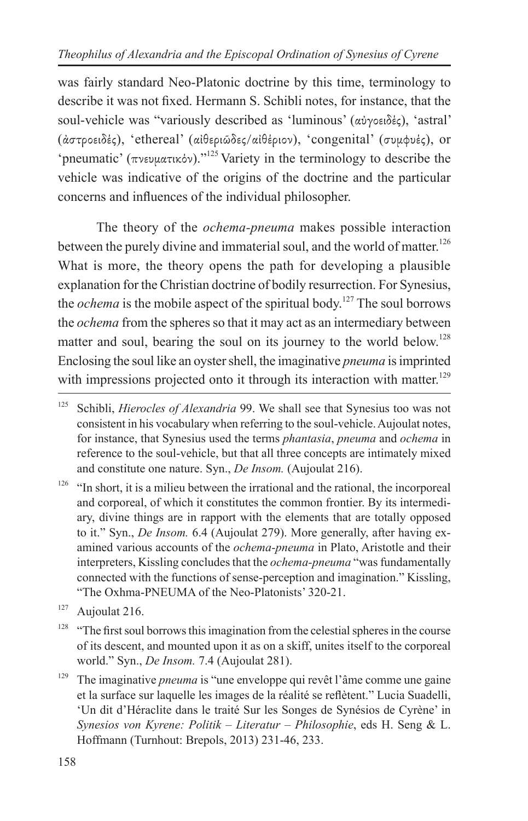was fairly standard Neo-Platonic doctrine by this time, terminology to describe it was not fixed. Hermann S. Schibli notes, for instance, that the soul-vehicle was "variously described as 'luminous' (αὐγοειδές), 'astral' (ἀστροειδές), 'ethereal' (αἰθεριῶδες/αἰθέριον), 'congenital' (συμφυές), or 'pneumatic' (πνευματικόν)."125 Variety in the terminology to describe the vehicle was indicative of the origins of the doctrine and the particular concerns and influences of the individual philosopher.

The theory of the *ochema-pneuma* makes possible interaction between the purely divine and immaterial soul, and the world of matter.<sup>126</sup> What is more, the theory opens the path for developing a plausible explanation for the Christian doctrine of bodily resurrection. For Synesius, the *ochema* is the mobile aspect of the spiritual body.<sup>127</sup> The soul borrows the *ochema* from the spheres so that it may act as an intermediary between matter and soul, bearing the soul on its journey to the world below.<sup>128</sup> Enclosing the soul like an oyster shell, the imaginative *pneuma* is imprinted with impressions projected onto it through its interaction with matter.<sup>129</sup>

 $126$  "In short, it is a milieu between the irrational and the rational, the incorporeal and corporeal, of which it constitutes the common frontier. By its intermediary, divine things are in rapport with the elements that are totally opposed to it." Syn., *De Insom.* 6.4 (Aujoulat 279). More generally, after having examined various accounts of the *ochema-pneuma* in Plato, Aristotle and their interpreters, Kissling concludes that the *ochema-pneuma* "was fundamentally connected with the functions of sense-perception and imagination." Kissling, "The Oxhma-PNEUMA of the Neo-Platonists' 320-21.

- <sup>128</sup> "The first soul borrows this imagination from the celestial spheres in the course of its descent, and mounted upon it as on a skiff, unites itself to the corporeal world." Syn., *De Insom.* 7.4 (Aujoulat 281).
- <sup>129</sup> The imaginative *pneuma* is "une enveloppe qui revêt l'âme comme une gaine et la surface sur laquelle les images de la réalité se reflètent." Lucia Suadelli, 'Un dit d'Héraclite dans le traité Sur les Songes de Synésios de Cyrène' in *Synesios von Kyrene: Politik – Literatur – Philosophie*, eds H. Seng & L. Hoffmann (Turnhout: Brepols, 2013) 231-46, 233.

<sup>&</sup>lt;sup>125</sup> Schibli, *Hierocles of Alexandria* 99. We shall see that Synesius too was not consistent in his vocabulary when referring to the soul-vehicle. Aujoulat notes, for instance, that Synesius used the terms *phantasia*, *pneuma* and *ochema* in reference to the soul-vehicle, but that all three concepts are intimately mixed and constitute one nature. Syn., *De Insom.* (Aujoulat 216).

 $127$  Aujoulat 216.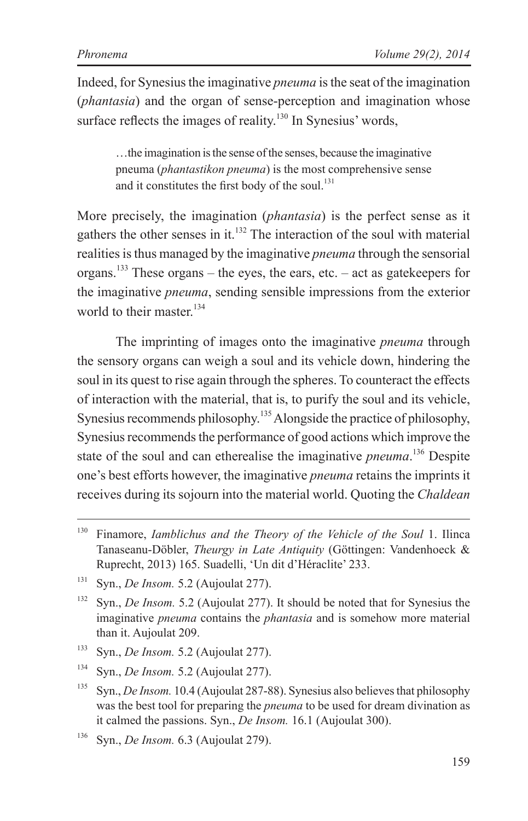Indeed, for Synesius the imaginative *pneuma* is the seat of the imagination (*phantasia*) and the organ of sense-perception and imagination whose surface reflects the images of reality.<sup>130</sup> In Synesius' words,

…the imagination is the sense of the senses, because the imaginative pneuma (*phantastikon pneuma*) is the most comprehensive sense and it constitutes the first body of the soul. $131$ 

More precisely, the imagination (*phantasia*) is the perfect sense as it gathers the other senses in it.<sup>132</sup> The interaction of the soul with material realities is thus managed by the imaginative *pneuma* through the sensorial organs.<sup>133</sup> These organs – the eyes, the ears, etc. – act as gatekeepers for the imaginative *pneuma*, sending sensible impressions from the exterior world to their master<sup>134</sup>

The imprinting of images onto the imaginative *pneuma* through the sensory organs can weigh a soul and its vehicle down, hindering the soul in its quest to rise again through the spheres. To counteract the effects of interaction with the material, that is, to purify the soul and its vehicle, Synesius recommends philosophy.<sup>135</sup> Alongside the practice of philosophy, Synesius recommends the performance of good actions which improve the state of the soul and can etherealise the imaginative *pneuma*. 136 Despite one's best efforts however, the imaginative *pneuma* retains the imprints it receives during its sojourn into the material world. Quoting the *Chaldean* 

<sup>130</sup> Finamore, *Iamblichus and the Theory of the Vehicle of the Soul* 1. Ilinca Tanaseanu-Döbler, *Theurgy in Late Antiquity* (Göttingen: Vandenhoeck & Ruprecht, 2013) 165. Suadelli, 'Un dit d'Héraclite' 233.

<sup>131</sup> Syn., *De Insom.* 5.2 (Aujoulat 277).

<sup>&</sup>lt;sup>132</sup> Syn., *De Insom.* 5.2 (Aujoulat 277). It should be noted that for Synesius the imaginative *pneuma* contains the *phantasia* and is somehow more material than it. Aujoulat 209.

<sup>133</sup> Syn., *De Insom.* 5.2 (Aujoulat 277).

<sup>134</sup> Syn., *De Insom.* 5.2 (Aujoulat 277).

<sup>&</sup>lt;sup>135</sup> Syn., *De Insom.* 10.4 (Aujoulat 287-88). Synesius also believes that philosophy was the best tool for preparing the *pneuma* to be used for dream divination as it calmed the passions. Syn., *De Insom.* 16.1 (Aujoulat 300).

<sup>136</sup> Syn., *De Insom.* 6.3 (Aujoulat 279).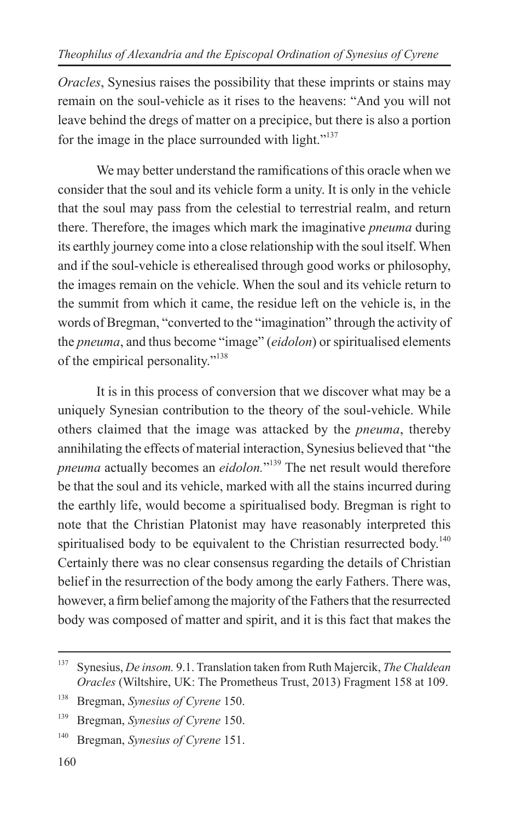*Oracles*, Synesius raises the possibility that these imprints or stains may remain on the soul-vehicle as it rises to the heavens: "And you will not leave behind the dregs of matter on a precipice, but there is also a portion for the image in the place surrounded with light." $137$ 

We may better understand the ramifications of this oracle when we consider that the soul and its vehicle form a unity. It is only in the vehicle that the soul may pass from the celestial to terrestrial realm, and return there. Therefore, the images which mark the imaginative *pneuma* during its earthly journey come into a close relationship with the soul itself. When and if the soul-vehicle is etherealised through good works or philosophy, the images remain on the vehicle. When the soul and its vehicle return to the summit from which it came, the residue left on the vehicle is, in the words of Bregman, "converted to the "imagination" through the activity of the *pneuma*, and thus become "image" (*eidolon*) or spiritualised elements of the empirical personality."138

It is in this process of conversion that we discover what may be a uniquely Synesian contribution to the theory of the soul-vehicle. While others claimed that the image was attacked by the *pneuma*, thereby annihilating the effects of material interaction, Synesius believed that "the *pneuma* actually becomes an *eidolon.*" 139 The net result would therefore be that the soul and its vehicle, marked with all the stains incurred during the earthly life, would become a spiritualised body. Bregman is right to note that the Christian Platonist may have reasonably interpreted this spiritualised body to be equivalent to the Christian resurrected body.<sup>140</sup> Certainly there was no clear consensus regarding the details of Christian belief in the resurrection of the body among the early Fathers. There was, however, a firm belief among the majority of the Fathers that the resurrected body was composed of matter and spirit, and it is this fact that makes the

<sup>137</sup> Synesius, *De insom.* 9.1. Translation taken from Ruth Majercik, *The Chaldean Oracles* (Wiltshire, UK: The Prometheus Trust, 2013) Fragment 158 at 109.

<sup>138</sup> Bregman, *Synesius of Cyrene* 150.

<sup>139</sup> Bregman, *Synesius of Cyrene* 150.

<sup>140</sup> Bregman, *Synesius of Cyrene* 151.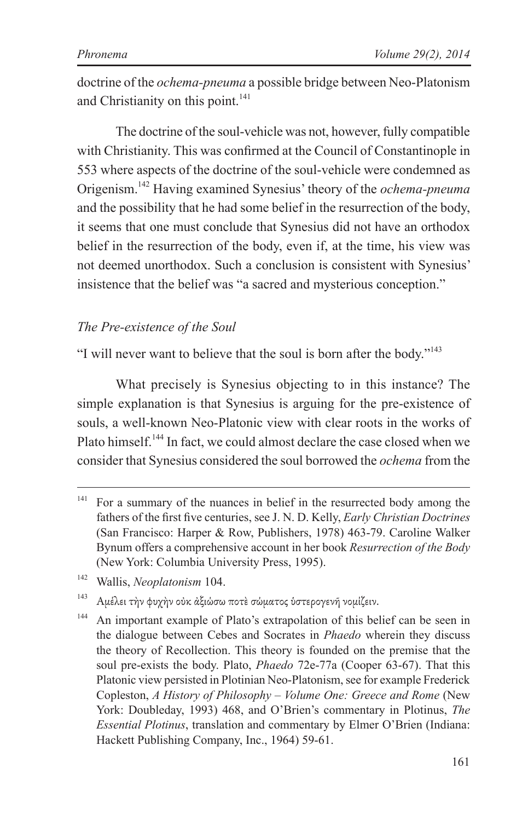doctrine of the *ochema-pneuma* a possible bridge between Neo-Platonism and Christianity on this point.<sup>141</sup>

The doctrine of the soul-vehicle was not, however, fully compatible with Christianity. This was confirmed at the Council of Constantinople in 553 where aspects of the doctrine of the soul-vehicle were condemned as Origenism.142 Having examined Synesius' theory of the *ochema-pneuma* and the possibility that he had some belief in the resurrection of the body, it seems that one must conclude that Synesius did not have an orthodox belief in the resurrection of the body, even if, at the time, his view was not deemed unorthodox. Such a conclusion is consistent with Synesius' insistence that the belief was "a sacred and mysterious conception."

#### *The Pre-existence of the Soul*

"I will never want to believe that the soul is born after the body."143

What precisely is Synesius objecting to in this instance? The simple explanation is that Synesius is arguing for the pre-existence of souls, a well-known Neo-Platonic view with clear roots in the works of Plato himself.<sup>144</sup> In fact, we could almost declare the case closed when we consider that Synesius considered the soul borrowed the *ochema* from the

<sup>143</sup> Ἀμέλει τὴν φυχὴν οὐκ ἀξιώσω ποτὲ σώματος ὑστερογενῆ νομίζειν.

 $141$  For a summary of the nuances in belief in the resurrected body among the fathers of the first five centuries, see J. N. D. Kelly, *Early Christian Doctrines* (San Francisco: Harper & Row, Publishers, 1978) 463-79. Caroline Walker Bynum offers a comprehensive account in her book *Resurrection of the Body* (New York: Columbia University Press, 1995).

<sup>142</sup> Wallis, *Neoplatonism* 104.

<sup>&</sup>lt;sup>144</sup> An important example of Plato's extrapolation of this belief can be seen in the dialogue between Cebes and Socrates in *Phaedo* wherein they discuss the theory of Recollection. This theory is founded on the premise that the soul pre-exists the body. Plato, *Phaedo* 72e-77a (Cooper 63-67). That this Platonic view persisted in Plotinian Neo-Platonism, see for example Frederick Copleston, *A History of Philosophy – Volume One: Greece and Rome* (New York: Doubleday, 1993) 468, and O'Brien's commentary in Plotinus, *The Essential Plotinus*, translation and commentary by Elmer O'Brien (Indiana: Hackett Publishing Company, Inc., 1964) 59-61.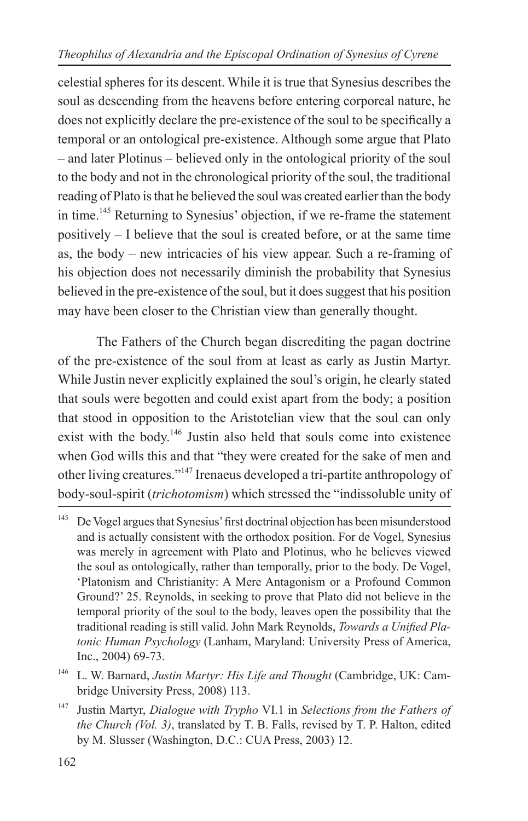celestial spheres for its descent. While it is true that Synesius describes the soul as descending from the heavens before entering corporeal nature, he does not explicitly declare the pre-existence of the soul to be specifically a temporal or an ontological pre-existence. Although some argue that Plato – and later Plotinus – believed only in the ontological priority of the soul to the body and not in the chronological priority of the soul, the traditional reading of Plato is that he believed the soul was created earlier than the body in time.145 Returning to Synesius' objection, if we re-frame the statement positively – I believe that the soul is created before, or at the same time as, the body *–* new intricacies of his view appear. Such a re-framing of his objection does not necessarily diminish the probability that Synesius believed in the pre-existence of the soul, but it does suggest that his position may have been closer to the Christian view than generally thought.

The Fathers of the Church began discrediting the pagan doctrine of the pre-existence of the soul from at least as early as Justin Martyr. While Justin never explicitly explained the soul's origin, he clearly stated that souls were begotten and could exist apart from the body; a position that stood in opposition to the Aristotelian view that the soul can only exist with the body.<sup>146</sup> Justin also held that souls come into existence when God wills this and that "they were created for the sake of men and other living creatures."147 Irenaeus developed a tri-partite anthropology of body-soul-spirit (*trichotomism*) which stressed the "indissoluble unity of

<sup>&</sup>lt;sup>145</sup> De Vogel argues that Synesius' first doctrinal objection has been misunderstood and is actually consistent with the orthodox position. For de Vogel, Synesius was merely in agreement with Plato and Plotinus, who he believes viewed the soul as ontologically, rather than temporally, prior to the body. De Vogel, 'Platonism and Christianity: A Mere Antagonism or a Profound Common Ground?' 25. Reynolds, in seeking to prove that Plato did not believe in the temporal priority of the soul to the body, leaves open the possibility that the traditional reading is still valid. John Mark Reynolds, *Towards a Unified Platonic Human Psychology* (Lanham, Maryland: University Press of America, Inc., 2004) 69-73.

<sup>146</sup> L. W. Barnard, *Justin Martyr: His Life and Thought* (Cambridge, UK: Cambridge University Press, 2008) 113.

<sup>147</sup> Justin Martyr, *Dialogue with Trypho* VI.1 in *Selections from the Fathers of the Church (Vol. 3)*, translated by T. B. Falls, revised by T. P. Halton, edited by M. Slusser (Washington, D.C.: CUA Press, 2003) 12.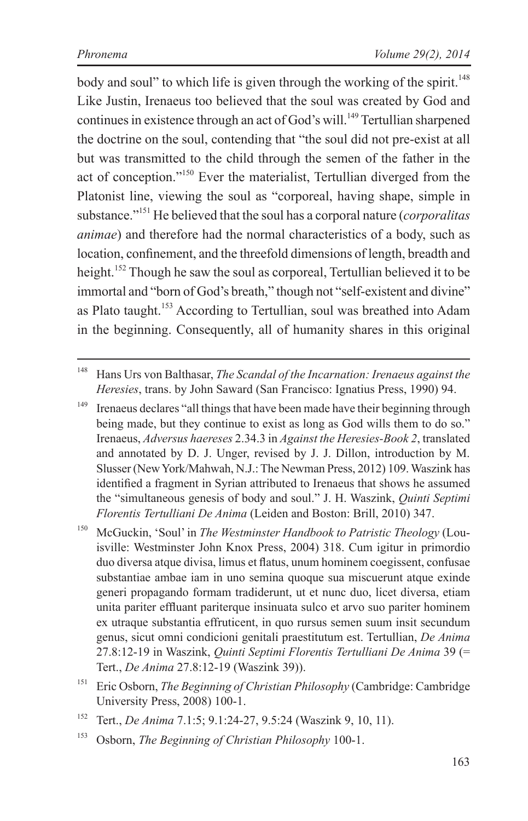body and soul" to which life is given through the working of the spirit.<sup>148</sup> Like Justin, Irenaeus too believed that the soul was created by God and continues in existence through an act of God's will.<sup>149</sup> Tertullian sharpened the doctrine on the soul, contending that "the soul did not pre-exist at all but was transmitted to the child through the semen of the father in the act of conception."150 Ever the materialist, Tertullian diverged from the Platonist line, viewing the soul as "corporeal, having shape, simple in substance."151 He believed that the soul has a corporal nature (*corporalitas animae*) and therefore had the normal characteristics of a body, such as location, confinement, and the threefold dimensions of length, breadth and height.<sup>152</sup> Though he saw the soul as corporeal, Tertullian believed it to be immortal and "born of God's breath," though not "self-existent and divine" as Plato taught.<sup>153</sup> According to Tertullian, soul was breathed into Adam in the beginning. Consequently, all of humanity shares in this original

<sup>149</sup> Irenaeus declares "all things that have been made have their beginning through being made, but they continue to exist as long as God wills them to do so." Irenaeus, *Adversus haereses* 2.34.3 in *Against the Heresies-Book 2*, translated and annotated by D. J. Unger, revised by J. J. Dillon, introduction by M. Slusser (New York/Mahwah, N.J.: The Newman Press, 2012) 109. Waszink has identified a fragment in Syrian attributed to Irenaeus that shows he assumed the "simultaneous genesis of body and soul." J. H. Waszink, *Quinti Septimi Florentis Tertulliani De Anima* (Leiden and Boston: Brill, 2010) 347.

<sup>150</sup> McGuckin, 'Soul' in *The Westminster Handbook to Patristic Theology* (Louisville: Westminster John Knox Press, 2004) 318. Cum igitur in primordio duo diversa atque divisa, limus et flatus, unum hominem coegissent, confusae substantiae ambae iam in uno semina quoque sua miscuerunt atque exinde generi propagando formam tradiderunt, ut et nunc duo, licet diversa, etiam unita pariter effluant pariterque insinuata sulco et arvo suo pariter hominem ex utraque substantia effruticent, in quo rursus semen suum insit secundum genus, sicut omni condicioni genitali praestitutum est. Tertullian, *De Anima* 27.8:12-19 in Waszink, *Quinti Septimi Florentis Tertulliani De Anima* 39 (= Tert., *De Anima* 27.8:12-19 (Waszink 39)).

<sup>151</sup> Eric Osborn, *The Beginning of Christian Philosophy* (Cambridge: Cambridge University Press, 2008) 100-1.

- <sup>152</sup> Tert., *De Anima* 7.1:5; 9.1:24-27, 9.5:24 (Waszink 9, 10, 11).
- <sup>153</sup> Osborn, *The Beginning of Christian Philosophy* 100-1.

<sup>148</sup> Hans Urs von Balthasar, *The Scandal of the Incarnation: Irenaeus against the Heresies*, trans. by John Saward (San Francisco: Ignatius Press, 1990) 94.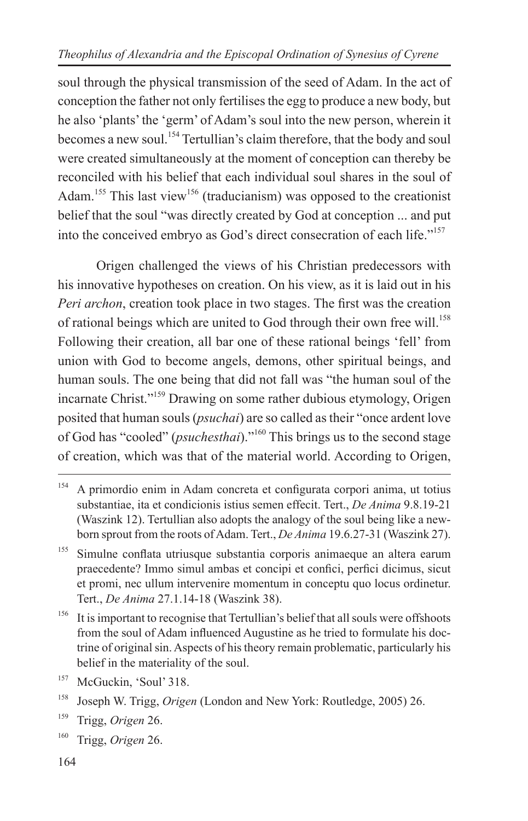soul through the physical transmission of the seed of Adam. In the act of conception the father not only fertilises the egg to produce a new body, but he also 'plants' the 'germ' of Adam's soul into the new person, wherein it becomes a new soul.<sup>154</sup> Tertullian's claim therefore, that the body and soul were created simultaneously at the moment of conception can thereby be reconciled with his belief that each individual soul shares in the soul of Adam.<sup>155</sup> This last view<sup>156</sup> (traducianism) was opposed to the creationist belief that the soul "was directly created by God at conception ... and put into the conceived embryo as God's direct consecration of each life."157

Origen challenged the views of his Christian predecessors with his innovative hypotheses on creation. On his view, as it is laid out in his *Peri archon*, creation took place in two stages. The first was the creation of rational beings which are united to God through their own free will.<sup>158</sup> Following their creation, all bar one of these rational beings 'fell' from union with God to become angels, demons, other spiritual beings, and human souls. The one being that did not fall was "the human soul of the incarnate Christ."159 Drawing on some rather dubious etymology, Origen posited that human souls (*psuchai*) are so called as their "once ardent love of God has "cooled" (*psuchesthai*)."160 This brings us to the second stage of creation, which was that of the material world. According to Origen,

<sup>156</sup> It is important to recognise that Tertullian's belief that all souls were offshoots from the soul of Adam influenced Augustine as he tried to formulate his doctrine of original sin. Aspects of his theory remain problematic, particularly his belief in the materiality of the soul.

<sup>154</sup> A primordio enim in Adam concreta et configurata corpori anima, ut totius substantiae, ita et condicionis istius semen effecit. Tert., *De Anima* 9.8.19-21 (Waszink 12). Tertullian also adopts the analogy of the soul being like a newborn sprout from the roots of Adam. Tert., *De Anima* 19.6.27-31 (Waszink 27).

<sup>&</sup>lt;sup>155</sup> Simulne conflata utriusque substantia corporis animaeque an altera earum praecedente? Immo simul ambas et concipi et confici, perfici dicimus, sicut et promi, nec ullum intervenire momentum in conceptu quo locus ordinetur. Tert., *De Anima* 27.1.14-18 (Waszink 38).

<sup>&</sup>lt;sup>157</sup> McGuckin, 'Soul' 318.

<sup>158</sup> Joseph W. Trigg, *Origen* (London and New York: Routledge, 2005) 26.

<sup>159</sup> Trigg, *Origen* 26.

<sup>160</sup> Trigg, *Origen* 26.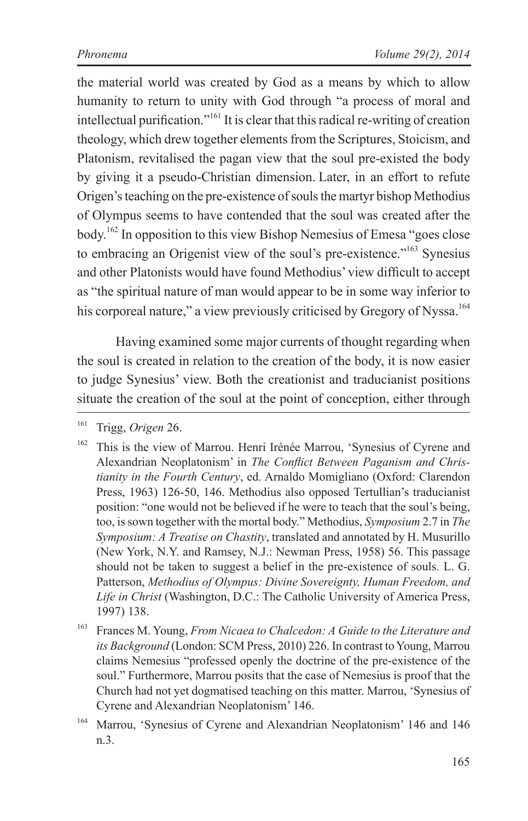the material world was created by God as a means by which to allow humanity to return to unity with God through "a process of moral and intellectual purification."161 It is clear that this radical re-writing of creation theology, which drew together elements from the Scriptures, Stoicism, and Platonism, revitalised the pagan view that the soul pre-existed the body by giving it a pseudo-Christian dimension. Later, in an effort to refute Origen's teaching on the pre-existence of souls the martyr bishop Methodius of Olympus seems to have contended that the soul was created after the body.162 In opposition to this view Bishop Nemesius of Emesa "goes close to embracing an Origenist view of the soul's pre-existence."163 Synesius and other Platonists would have found Methodius' view difficult to accept as "the spiritual nature of man would appear to be in some way inferior to his corporeal nature," a view previously criticised by Gregory of Nyssa.<sup>164</sup>

Having examined some major currents of thought regarding when the soul is created in relation to the creation of the body, it is now easier to judge Synesius' view. Both the creationist and traducianist positions situate the creation of the soul at the point of conception, either through

<sup>161</sup> Trigg, *Origen* 26.

<sup>&</sup>lt;sup>162</sup> This is the view of Marrou. Henri Irénée Marrou, 'Synesius of Cyrene and Alexandrian Neoplatonism' in *The Conflict Between Paganism and Christianity in the Fourth Century*, ed. Arnaldo Momigliano (Oxford: Clarendon Press, 1963) 126-50, 146. Methodius also opposed Tertullian's traducianist position: "one would not be believed if he were to teach that the soul's being, too, is sown together with the mortal body." Methodius, *Symposium* 2.7 in *The Symposium: A Treatise on Chastity*, translated and annotated by H. Musurillo (New York, N.Y. and Ramsey, N.J.: Newman Press, 1958) 56. This passage should not be taken to suggest a belief in the pre-existence of souls. L. G. Patterson, *Methodius of Olympus: Divine Sovereignty, Human Freedom, and Life in Christ* (Washington, D.C.: The Catholic University of America Press, 1997) 138.

<sup>163</sup> Frances M. Young, *From Nicaea to Chalcedon: A Guide to the Literature and its Background* (London: SCM Press, 2010) 226. In contrast to Young, Marrou claims Nemesius "professed openly the doctrine of the pre-existence of the soul." Furthermore, Marrou posits that the case of Nemesius is proof that the Church had not yet dogmatised teaching on this matter. Marrou, 'Synesius of Cyrene and Alexandrian Neoplatonism' 146.

<sup>164</sup> Marrou, 'Synesius of Cyrene and Alexandrian Neoplatonism' 146 and 146 n.3.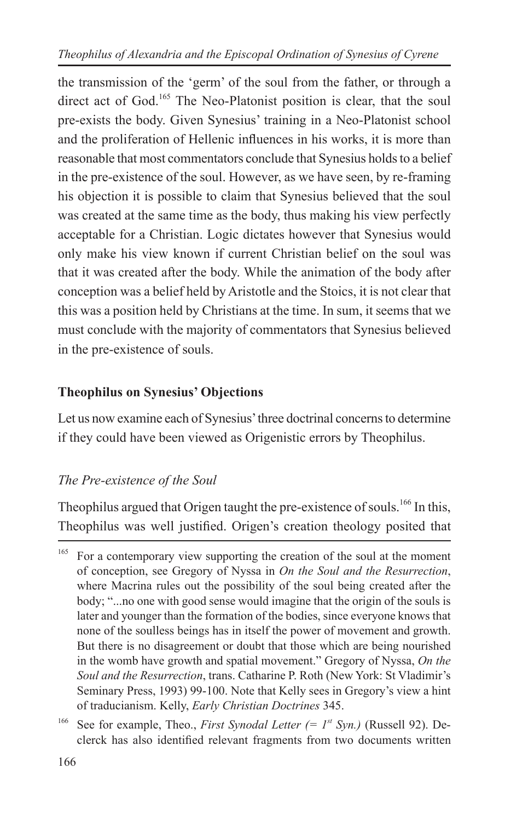the transmission of the 'germ' of the soul from the father, or through a direct act of God.<sup>165</sup> The Neo-Platonist position is clear, that the soul pre-exists the body. Given Synesius' training in a Neo-Platonist school and the proliferation of Hellenic influences in his works, it is more than reasonable that most commentators conclude that Synesius holds to a belief in the pre-existence of the soul. However, as we have seen, by re-framing his objection it is possible to claim that Synesius believed that the soul was created at the same time as the body, thus making his view perfectly acceptable for a Christian. Logic dictates however that Synesius would only make his view known if current Christian belief on the soul was that it was created after the body. While the animation of the body after conception was a belief held by Aristotle and the Stoics, it is not clear that this was a position held by Christians at the time. In sum, it seems that we must conclude with the majority of commentators that Synesius believed in the pre-existence of souls.

#### **Theophilus on Synesius' Objections**

Let us now examine each of Synesius' three doctrinal concerns to determine if they could have been viewed as Origenistic errors by Theophilus.

#### *The Pre-existence of the Soul*

Theophilus argued that Origen taught the pre-existence of souls.<sup>166</sup> In this, Theophilus was well justified. Origen's creation theology posited that

<sup>&</sup>lt;sup>165</sup> For a contemporary view supporting the creation of the soul at the moment of conception, see Gregory of Nyssa in *On the Soul and the Resurrection*, where Macrina rules out the possibility of the soul being created after the body; "...no one with good sense would imagine that the origin of the souls is later and younger than the formation of the bodies, since everyone knows that none of the soulless beings has in itself the power of movement and growth. But there is no disagreement or doubt that those which are being nourished in the womb have growth and spatial movement." Gregory of Nyssa, *On the Soul and the Resurrection*, trans. Catharine P. Roth (New York: St Vladimir's Seminary Press, 1993) 99-100. Note that Kelly sees in Gregory's view a hint of traducianism. Kelly, *Early Christian Doctrines* 345.

<sup>&</sup>lt;sup>166</sup> See for example, Theo., *First Synodal Letter* (=  $1^{st}$  Syn.) (Russell 92). Declerck has also identified relevant fragments from two documents written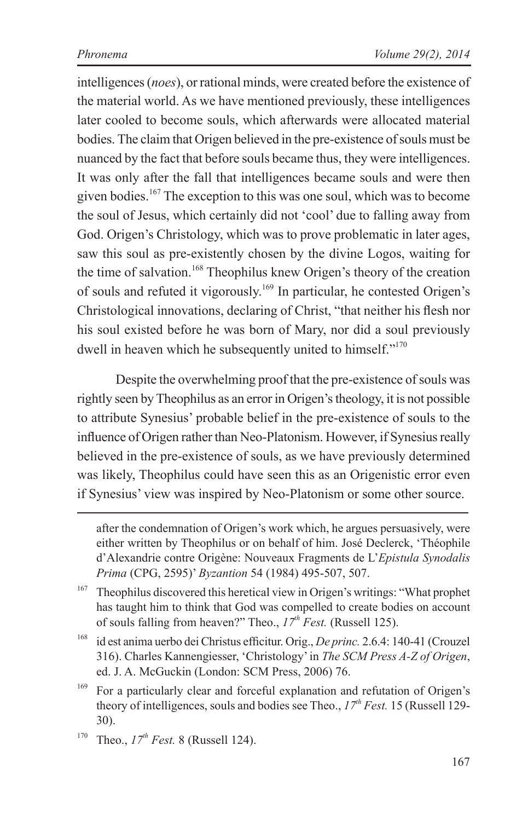intelligences (*noes*), or rational minds, were created before the existence of the material world. As we have mentioned previously, these intelligences later cooled to become souls, which afterwards were allocated material bodies. The claim that Origen believed in the pre-existence of souls must be nuanced by the fact that before souls became thus, they were intelligences. It was only after the fall that intelligences became souls and were then given bodies.167 The exception to this was one soul, which was to become the soul of Jesus, which certainly did not 'cool' due to falling away from God. Origen's Christology, which was to prove problematic in later ages, saw this soul as pre-existently chosen by the divine Logos, waiting for the time of salvation.<sup>168</sup> Theophilus knew Origen's theory of the creation of souls and refuted it vigorously.169 In particular, he contested Origen's Christological innovations, declaring of Christ, "that neither his flesh nor his soul existed before he was born of Mary, nor did a soul previously dwell in heaven which he subsequently united to himself."<sup>170</sup>

Despite the overwhelming proof that the pre-existence of souls was rightly seen by Theophilus as an error in Origen's theology, it is not possible to attribute Synesius' probable belief in the pre-existence of souls to the influence of Origen rather than Neo-Platonism. However, if Synesius really believed in the pre-existence of souls, as we have previously determined was likely, Theophilus could have seen this as an Origenistic error even if Synesius' view was inspired by Neo-Platonism or some other source.

after the condemnation of Origen's work which, he argues persuasively, were either written by Theophilus or on behalf of him. José Declerck, 'Théophile d'Alexandrie contre Origène: Nouveaux Fragments de L'*Epistula Synodalis Prima* (CPG, 2595)' *Byzantion* 54 (1984) 495-507, 507.

<sup>168</sup> id est anima uerbo dei Christus efficitur. Orig., *De princ.* 2.6.4: 140-41 (Crouzel 316). Charles Kannengiesser, 'Christology' in *The SCM Press A-Z of Origen*, ed. J. A. McGuckin (London: SCM Press, 2006) 76.

 $167$  Theophilus discovered this heretical view in Origen's writings: "What prophet has taught him to think that God was compelled to create bodies on account of souls falling from heaven?" Theo.,  $17^{th}$  Fest. (Russell 125).

<sup>169</sup> For a particularly clear and forceful explanation and refutation of Origen's theory of intelligences, souls and bodies see Theo., *17th Fest.* 15 (Russell 129- 30).

<sup>&</sup>lt;sup>170</sup> Theo.,  $17^{th}$  Fest. 8 (Russell 124).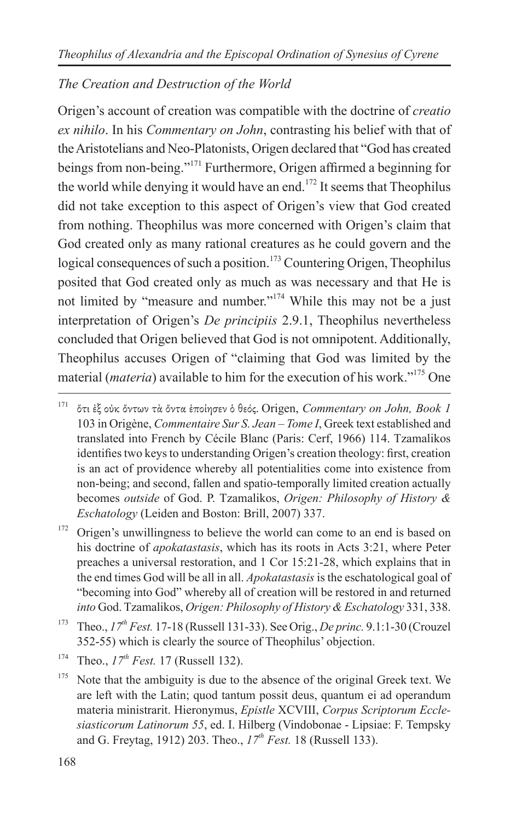#### *The Creation and Destruction of the World*

Origen's account of creation was compatible with the doctrine of *creatio ex nihilo*. In his *Commentary on John*, contrasting his belief with that of the Aristotelians and Neo-Platonists, Origen declared that "God has created beings from non-being."171 Furthermore, Origen affirmed a beginning for the world while denying it would have an end.<sup>172</sup> It seems that Theophilus did not take exception to this aspect of Origen's view that God created from nothing. Theophilus was more concerned with Origen's claim that God created only as many rational creatures as he could govern and the logical consequences of such a position.<sup>173</sup> Countering Origen, Theophilus posited that God created only as much as was necessary and that He is not limited by "measure and number."<sup>174</sup> While this may not be a just interpretation of Origen's *De principiis* 2.9.1, Theophilus nevertheless concluded that Origen believed that God is not omnipotent. Additionally, Theophilus accuses Origen of "claiming that God was limited by the material (*materia*) available to him for the execution of his work."175 One

<sup>172</sup> Origen's unwillingness to believe the world can come to an end is based on his doctrine of *apokatastasis*, which has its roots in Acts 3:21, where Peter preaches a universal restoration, and 1 Cor 15:21-28, which explains that in the end times God will be all in all. *Apokatastasis* is the eschatological goal of "becoming into God" whereby all of creation will be restored in and returned *into* God. Tzamalikos, *Origen: Philosophy of History & Eschatology* 331, 338.

<sup>173</sup> Theo., *17th Fest.* 17-18 (Russell 131-33). See Orig., *De princ.* 9.1:1-30 (Crouzel 352-55) which is clearly the source of Theophilus' objection.

<sup>171</sup> ὅτι ἐξ οὐκ ὄντων τὰ ὄντα ἐποίησεν ὁ θεός. Origen, *Commentary on John, Book 1* 103 in Origène, *Commentaire Sur S. Jean – Tome I*, Greek text established and translated into French by Cécile Blanc (Paris: Cerf, 1966) 114. Tzamalikos identifies two keys to understanding Origen's creation theology: first, creation is an act of providence whereby all potentialities come into existence from non-being; and second, fallen and spatio-temporally limited creation actually becomes *outside* of God. P. Tzamalikos, *Origen: Philosophy of History & Eschatology* (Leiden and Boston: Brill, 2007) 337.

<sup>&</sup>lt;sup>174</sup> Theo.,  $17^{th}$  Fest. 17 (Russell 132).

<sup>&</sup>lt;sup>175</sup> Note that the ambiguity is due to the absence of the original Greek text. We are left with the Latin; quod tantum possit deus, quantum ei ad operandum materia ministrarit. Hieronymus, *Epistle* XCVIII, *Corpus Scriptorum Ecclesiasticorum Latinorum 55*, ed. I. Hilberg (Vindobonae - Lipsiae: F. Tempsky and G. Freytag, 1912) 203. Theo.,  $17^{th}$  Fest. 18 (Russell 133).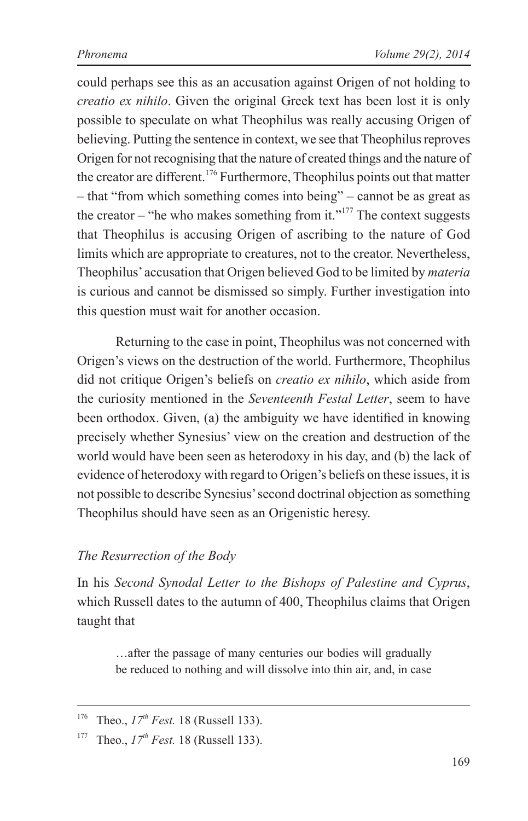could perhaps see this as an accusation against Origen of not holding to *creatio ex nihilo*. Given the original Greek text has been lost it is only possible to speculate on what Theophilus was really accusing Origen of believing. Putting the sentence in context, we see that Theophilus reproves Origen for not recognising that the nature of created things and the nature of the creator are different.<sup>176</sup> Furthermore, Theophilus points out that matter – that "from which something comes into being" – cannot be as great as the creator – "he who makes something from it."<sup>177</sup> The context suggests that Theophilus is accusing Origen of ascribing to the nature of God limits which are appropriate to creatures, not to the creator. Nevertheless, Theophilus' accusation that Origen believed God to be limited by *materia*  is curious and cannot be dismissed so simply. Further investigation into this question must wait for another occasion.

Returning to the case in point, Theophilus was not concerned with Origen's views on the destruction of the world. Furthermore, Theophilus did not critique Origen's beliefs on *creatio ex nihilo*, which aside from the curiosity mentioned in the *Seventeenth Festal Letter*, seem to have been orthodox. Given, (a) the ambiguity we have identified in knowing precisely whether Synesius' view on the creation and destruction of the world would have been seen as heterodoxy in his day, and (b) the lack of evidence of heterodoxy with regard to Origen's beliefs on these issues, it is not possible to describe Synesius' second doctrinal objection as something Theophilus should have seen as an Origenistic heresy.

#### *The Resurrection of the Body*

In his *Second Synodal Letter to the Bishops of Palestine and Cyprus*, which Russell dates to the autumn of 400, Theophilus claims that Origen taught that

…after the passage of many centuries our bodies will gradually be reduced to nothing and will dissolve into thin air, and, in case

<sup>&</sup>lt;sup>176</sup> Theo.,  $17^{th}$  Fest. 18 (Russell 133).

<sup>&</sup>lt;sup>177</sup> Theo.,  $17^{th}$  *Fest.* 18 (Russell 133).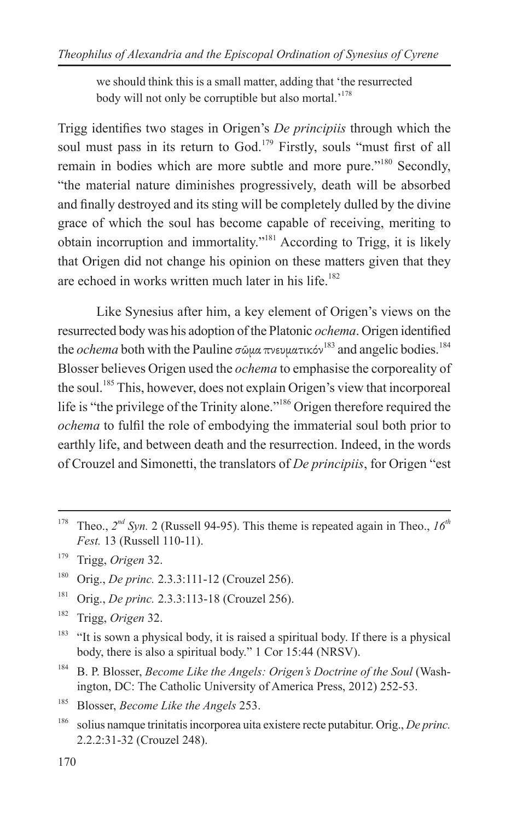we should think this is a small matter, adding that 'the resurrected body will not only be corruptible but also mortal.<sup>178</sup>

Trigg identifies two stages in Origen's *De principiis* through which the soul must pass in its return to God.<sup>179</sup> Firstly, souls "must first of all remain in bodies which are more subtle and more pure."<sup>180</sup> Secondly, "the material nature diminishes progressively, death will be absorbed and finally destroyed and its sting will be completely dulled by the divine grace of which the soul has become capable of receiving, meriting to obtain incorruption and immortality."181 According to Trigg, it is likely that Origen did not change his opinion on these matters given that they are echoed in works written much later in his life.<sup>182</sup>

Like Synesius after him, a key element of Origen's views on the resurrected body was his adoption of the Platonic *ochema*. Origen identified the *ochema* both with the Pauline σῶμα πνευματικόν<sup>183</sup> and angelic bodies.<sup>184</sup> Blosser believes Origen used the *ochema* to emphasise the corporeality of the soul.<sup>185</sup> This, however, does not explain Origen's view that incorporeal life is "the privilege of the Trinity alone."186 Origen therefore required the *ochema* to fulfil the role of embodying the immaterial soul both prior to earthly life, and between death and the resurrection. Indeed, in the words of Crouzel and Simonetti, the translators of *De principiis*, for Origen "est

<sup>181</sup> Orig., *De princ.* 2.3.3:113-18 (Crouzel 256).

<sup>182</sup> Trigg, *Origen* 32.

<sup>184</sup> B. P. Blosser, *Become Like the Angels: Origen's Doctrine of the Soul* (Washington, DC: The Catholic University of America Press, 2012) 252-53.

<sup>&</sup>lt;sup>178</sup> Theo.,  $2^{nd}$  Syn. 2 (Russell 94-95). This theme is repeated again in Theo.,  $16^{th}$ *Fest.* 13 (Russell 110-11).

<sup>179</sup> Trigg, *Origen* 32.

<sup>180</sup> Orig., *De princ.* 2.3.3:111-12 (Crouzel 256).

 $183$  "It is sown a physical body, it is raised a spiritual body. If there is a physical body, there is also a spiritual body." 1 Cor 15:44 (NRSV).

<sup>185</sup> Blosser, *Become Like the Angels* 253.

<sup>186</sup> solius namque trinitatis incorporea uita existere recte putabitur. Orig., *De princ.*  2.2.2:31-32 (Crouzel 248).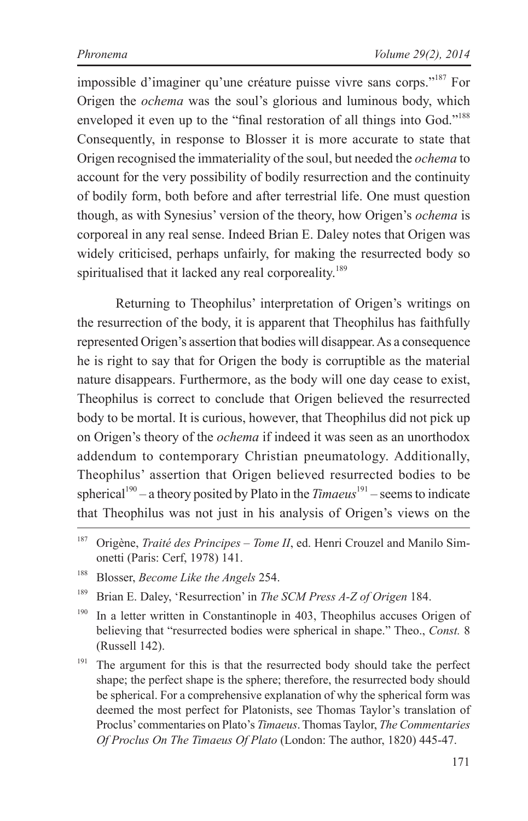impossible d'imaginer qu'une créature puisse vivre sans corps."187 For Origen the *ochema* was the soul's glorious and luminous body, which enveloped it even up to the "final restoration of all things into God."<sup>188</sup> Consequently, in response to Blosser it is more accurate to state that Origen recognised the immateriality of the soul, but needed the *ochema* to account for the very possibility of bodily resurrection and the continuity of bodily form, both before and after terrestrial life. One must question though, as with Synesius' version of the theory, how Origen's *ochema* is corporeal in any real sense. Indeed Brian E. Daley notes that Origen was widely criticised, perhaps unfairly, for making the resurrected body so spiritualised that it lacked any real corporeality.<sup>189</sup>

Returning to Theophilus' interpretation of Origen's writings on the resurrection of the body, it is apparent that Theophilus has faithfully represented Origen's assertion that bodies will disappear. As a consequence he is right to say that for Origen the body is corruptible as the material nature disappears. Furthermore, as the body will one day cease to exist, Theophilus is correct to conclude that Origen believed the resurrected body to be mortal. It is curious, however, that Theophilus did not pick up on Origen's theory of the *ochema* if indeed it was seen as an unorthodox addendum to contemporary Christian pneumatology. Additionally, Theophilus' assertion that Origen believed resurrected bodies to be spherical<sup>190</sup> – a theory posited by Plato in the *Timaeus*<sup>191</sup> – seems to indicate that Theophilus was not just in his analysis of Origen's views on the

- <sup>188</sup> Blosser, *Become Like the Angels* 254.
- <sup>189</sup> Brian E. Daley, 'Resurrection' in *The SCM Press A-Z of Origen* 184.
- <sup>190</sup> In a letter written in Constantinople in 403, Theophilus accuses Origen of believing that "resurrected bodies were spherical in shape." Theo., *Const.* 8 (Russell 142).
- <sup>191</sup> The argument for this is that the resurrected body should take the perfect shape; the perfect shape is the sphere; therefore, the resurrected body should be spherical. For a comprehensive explanation of why the spherical form was deemed the most perfect for Platonists, see Thomas Taylor's translation of Proclus' commentaries on Plato's *Timaeus*. Thomas Taylor, *The Commentaries Of Proclus On The Timaeus Of Plato* (London: The author, 1820) 445-47.

<sup>187</sup> Origène, *Traité des Principes – Tome II*, ed. Henri Crouzel and Manilo Simonetti (Paris: Cerf, 1978) 141.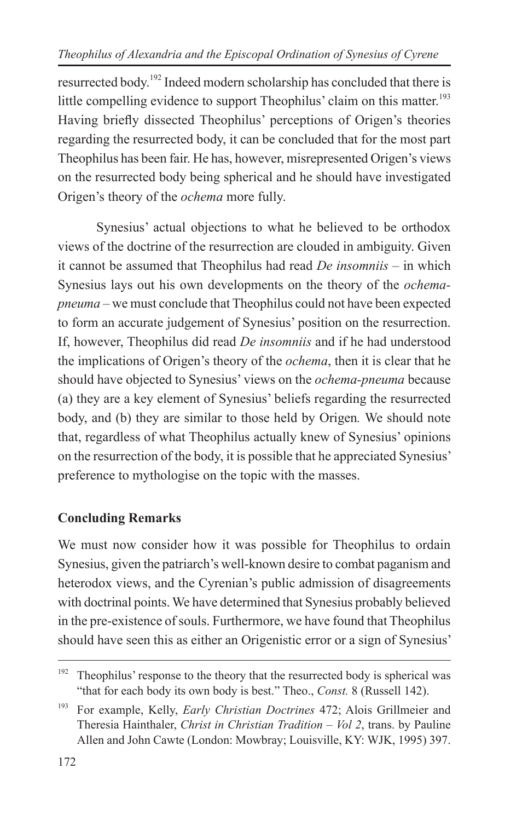resurrected body.192 Indeed modern scholarship has concluded that there is little compelling evidence to support Theophilus' claim on this matter.<sup>193</sup> Having briefly dissected Theophilus' perceptions of Origen's theories regarding the resurrected body, it can be concluded that for the most part Theophilus has been fair. He has, however, misrepresented Origen's views on the resurrected body being spherical and he should have investigated Origen's theory of the *ochema* more fully.

Synesius' actual objections to what he believed to be orthodox views of the doctrine of the resurrection are clouded in ambiguity. Given it cannot be assumed that Theophilus had read *De insomniis* – in which Synesius lays out his own developments on the theory of the *ochemapneuma* – we must conclude that Theophilus could not have been expected to form an accurate judgement of Synesius' position on the resurrection. If, however, Theophilus did read *De insomniis* and if he had understood the implications of Origen's theory of the *ochema*, then it is clear that he should have objected to Synesius' views on the *ochema-pneuma* because (a) they are a key element of Synesius' beliefs regarding the resurrected body, and (b) they are similar to those held by Origen*.* We should note that, regardless of what Theophilus actually knew of Synesius' opinions on the resurrection of the body, it is possible that he appreciated Synesius' preference to mythologise on the topic with the masses.

#### **Concluding Remarks**

We must now consider how it was possible for Theophilus to ordain Synesius, given the patriarch's well-known desire to combat paganism and heterodox views, and the Cyrenian's public admission of disagreements with doctrinal points. We have determined that Synesius probably believed in the pre-existence of souls. Furthermore, we have found that Theophilus should have seen this as either an Origenistic error or a sign of Synesius'

<sup>&</sup>lt;sup>192</sup> Theophilus' response to the theory that the resurrected body is spherical was "that for each body its own body is best." Theo., *Const.* 8 (Russell 142).

<sup>193</sup> For example, Kelly, *Early Christian Doctrines* 472; Alois Grillmeier and Theresia Hainthaler, *Christ in Christian Tradition – Vol 2*, trans. by Pauline Allen and John Cawte (London: Mowbray; Louisville, KY: WJK, 1995) 397.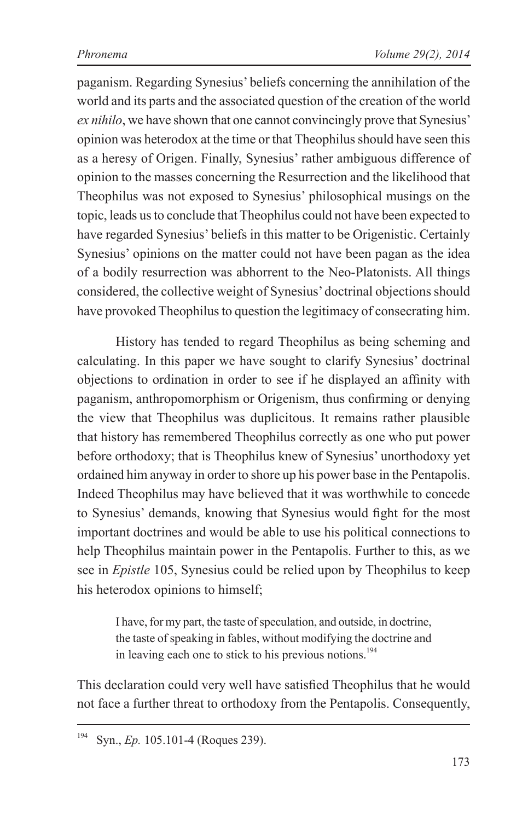paganism. Regarding Synesius' beliefs concerning the annihilation of the world and its parts and the associated question of the creation of the world *ex nihilo*, we have shown that one cannot convincingly prove that Synesius' opinion was heterodox at the time or that Theophilus should have seen this as a heresy of Origen. Finally, Synesius' rather ambiguous difference of opinion to the masses concerning the Resurrection and the likelihood that Theophilus was not exposed to Synesius' philosophical musings on the topic, leads us to conclude that Theophilus could not have been expected to have regarded Synesius' beliefs in this matter to be Origenistic. Certainly Synesius' opinions on the matter could not have been pagan as the idea of a bodily resurrection was abhorrent to the Neo-Platonists. All things considered, the collective weight of Synesius' doctrinal objections should have provoked Theophilus to question the legitimacy of consecrating him.

History has tended to regard Theophilus as being scheming and calculating. In this paper we have sought to clarify Synesius' doctrinal objections to ordination in order to see if he displayed an affinity with paganism, anthropomorphism or Origenism, thus confirming or denying the view that Theophilus was duplicitous. It remains rather plausible that history has remembered Theophilus correctly as one who put power before orthodoxy; that is Theophilus knew of Synesius' unorthodoxy yet ordained him anyway in order to shore up his power base in the Pentapolis. Indeed Theophilus may have believed that it was worthwhile to concede to Synesius' demands, knowing that Synesius would fight for the most important doctrines and would be able to use his political connections to help Theophilus maintain power in the Pentapolis. Further to this, as we see in *Epistle* 105, Synesius could be relied upon by Theophilus to keep his heterodox opinions to himself;

I have, for my part, the taste of speculation, and outside, in doctrine, the taste of speaking in fables, without modifying the doctrine and in leaving each one to stick to his previous notions.<sup>194</sup>

This declaration could very well have satisfied Theophilus that he would not face a further threat to orthodoxy from the Pentapolis. Consequently,

<sup>194</sup> Syn., *Ep.* 105.101-4 (Roques 239).